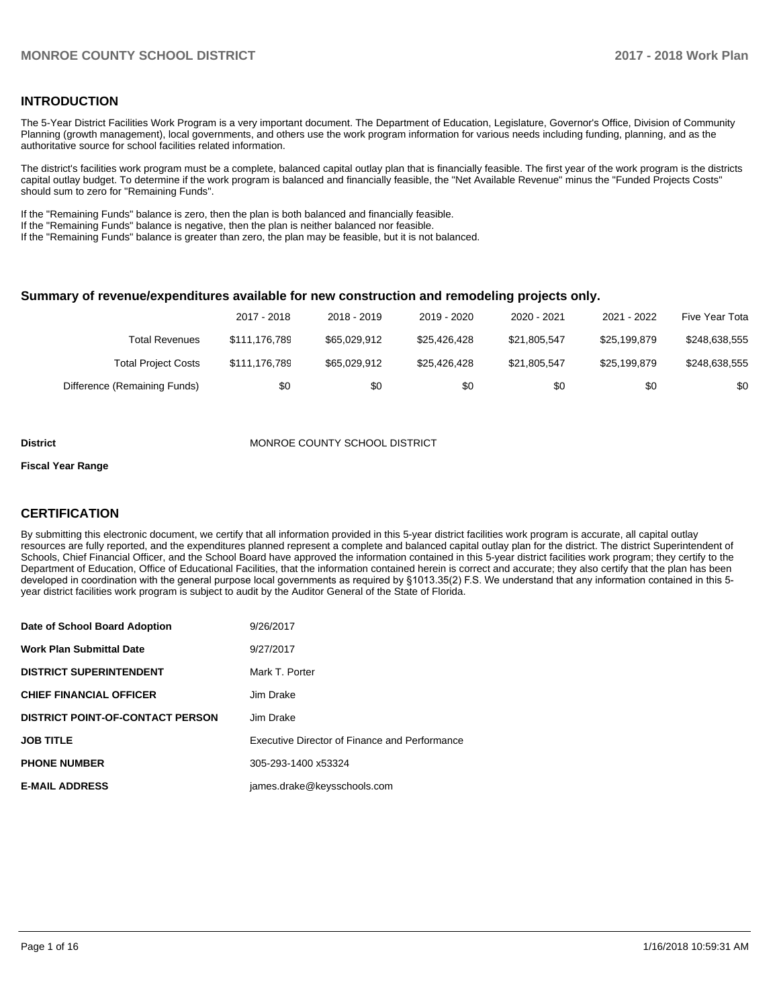## **INTRODUCTION**

The 5-Year District Facilities Work Program is a very important document. The Department of Education, Legislature, Governor's Office, Division of Community Planning (growth management), local governments, and others use the work program information for various needs including funding, planning, and as the authoritative source for school facilities related information.

The district's facilities work program must be a complete, balanced capital outlay plan that is financially feasible. The first year of the work program is the districts capital outlay budget. To determine if the work program is balanced and financially feasible, the "Net Available Revenue" minus the "Funded Projects Costs" should sum to zero for "Remaining Funds".

If the "Remaining Funds" balance is zero, then the plan is both balanced and financially feasible.

If the "Remaining Funds" balance is negative, then the plan is neither balanced nor feasible.

If the "Remaining Funds" balance is greater than zero, the plan may be feasible, but it is not balanced.

#### **Summary of revenue/expenditures available for new construction and remodeling projects only.**

|                              | 2017 - 2018   | 2018 - 2019  | 2019 - 2020  | 2020 - 2021  | 2021 - 2022  | Five Year Tota |
|------------------------------|---------------|--------------|--------------|--------------|--------------|----------------|
| Total Revenues               | \$111.176.789 | \$65,029,912 | \$25.426.428 | \$21.805.547 | \$25.199.879 | \$248,638,555  |
| <b>Total Project Costs</b>   | \$111.176.789 | \$65,029,912 | \$25.426.428 | \$21,805,547 | \$25.199.879 | \$248,638,555  |
| Difference (Remaining Funds) | \$0           | \$0          | \$0          | \$0          | \$0          | \$0            |

#### **District MONROE COUNTY SCHOOL DISTRICT**

#### **Fiscal Year Range**

## **CERTIFICATION**

By submitting this electronic document, we certify that all information provided in this 5-year district facilities work program is accurate, all capital outlay resources are fully reported, and the expenditures planned represent a complete and balanced capital outlay plan for the district. The district Superintendent of Schools, Chief Financial Officer, and the School Board have approved the information contained in this 5-year district facilities work program; they certify to the Department of Education, Office of Educational Facilities, that the information contained herein is correct and accurate; they also certify that the plan has been developed in coordination with the general purpose local governments as required by §1013.35(2) F.S. We understand that any information contained in this 5year district facilities work program is subject to audit by the Auditor General of the State of Florida.

| Date of School Board Adoption           | 9/26/2017                                     |
|-----------------------------------------|-----------------------------------------------|
| Work Plan Submittal Date                | 9/27/2017                                     |
| <b>DISTRICT SUPERINTENDENT</b>          | Mark T. Porter                                |
| <b>CHIEF FINANCIAL OFFICER</b>          | Jim Drake                                     |
| <b>DISTRICT POINT-OF-CONTACT PERSON</b> | Jim Drake                                     |
| JOB TITLE                               | Executive Director of Finance and Performance |
| <b>PHONE NUMBER</b>                     | 305-293-1400 x53324                           |
| <b>E-MAIL ADDRESS</b>                   | james.drake@keysschools.com                   |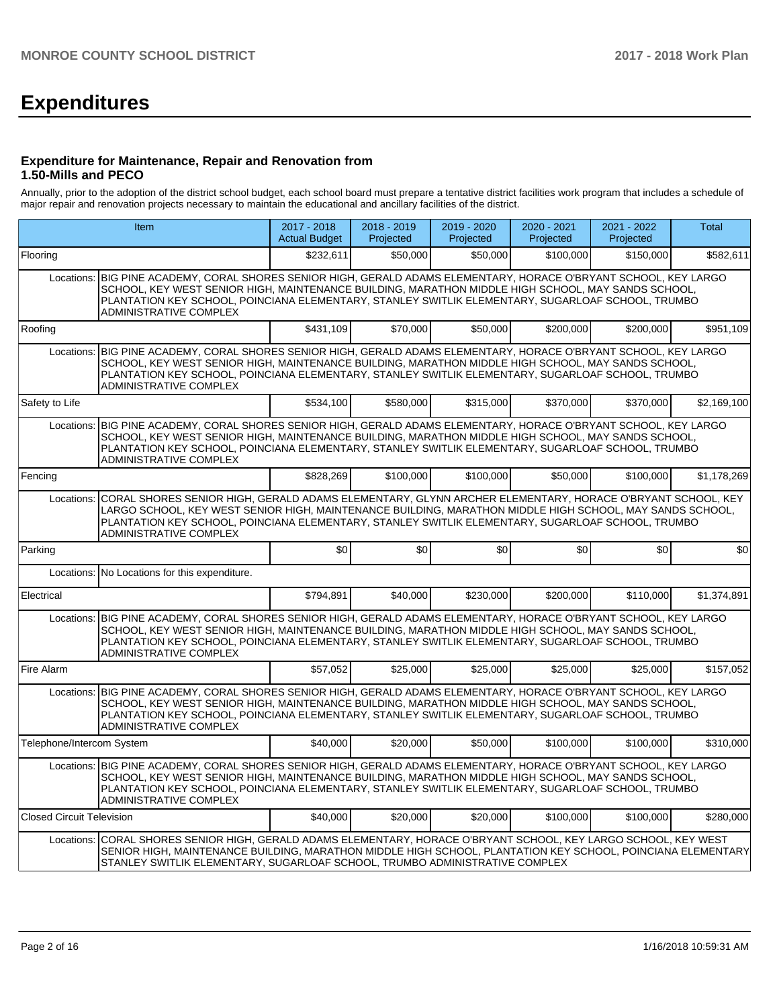# **Expenditures**

## **Expenditure for Maintenance, Repair and Renovation from 1.50-Mills and PECO**

Annually, prior to the adoption of the district school budget, each school board must prepare a tentative district facilities work program that includes a schedule of major repair and renovation projects necessary to maintain the educational and ancillary facilities of the district.

|                                  | <b>Item</b>                                                                                                                                                                                                                                                                                                                                                      | $2017 - 2018$<br><b>Actual Budget</b> | $2018 - 2019$<br>Projected | 2019 - 2020<br>Projected | $2020 - 2021$<br>Projected | 2021 - 2022<br>Projected | <b>Total</b> |  |  |  |  |
|----------------------------------|------------------------------------------------------------------------------------------------------------------------------------------------------------------------------------------------------------------------------------------------------------------------------------------------------------------------------------------------------------------|---------------------------------------|----------------------------|--------------------------|----------------------------|--------------------------|--------------|--|--|--|--|
| Flooring                         |                                                                                                                                                                                                                                                                                                                                                                  | \$232,611                             | \$50,000                   | \$50,000                 | \$100,000                  | \$150,000                | \$582,611    |  |  |  |  |
| Locations:                       | BIG PINE ACADEMY, CORAL SHORES SENIOR HIGH, GERALD ADAMS ELEMENTARY, HORACE O'BRYANT SCHOOL, KEY LARGO<br>SCHOOL, KEY WEST SENIOR HIGH, MAINTENANCE BUILDING, MARATHON MIDDLE HIGH SCHOOL, MAY SANDS SCHOOL,<br>PLANTATION KEY SCHOOL, POINCIANA ELEMENTARY, STANLEY SWITLIK ELEMENTARY, SUGARLOAF SCHOOL, TRUMBO<br><b>ADMINISTRATIVE COMPLEX</b>               |                                       |                            |                          |                            |                          |              |  |  |  |  |
| Roofing                          |                                                                                                                                                                                                                                                                                                                                                                  | \$431,109                             | \$70,000                   | \$50,000                 | \$200.000                  | \$200.000                | \$951,109    |  |  |  |  |
| Locations:                       | BIG PINE ACADEMY, CORAL SHORES SENIOR HIGH, GERALD ADAMS ELEMENTARY, HORACE O'BRYANT SCHOOL, KEY LARGO<br>SCHOOL, KEY WEST SENIOR HIGH, MAINTENANCE BUILDING, MARATHON MIDDLE HIGH SCHOOL, MAY SANDS SCHOOL,<br>PLANTATION KEY SCHOOL, POINCIANA ELEMENTARY, STANLEY SWITLIK ELEMENTARY, SUGARLOAF SCHOOL, TRUMBO<br><b>ADMINISTRATIVE COMPLEX</b>               |                                       |                            |                          |                            |                          |              |  |  |  |  |
| Safety to Life                   |                                                                                                                                                                                                                                                                                                                                                                  | \$534,100                             | \$580,000                  | \$315,000                | \$370,000                  | \$370,000                | \$2,169,100  |  |  |  |  |
| Locations:                       | BIG PINE ACADEMY, CORAL SHORES SENIOR HIGH, GERALD ADAMS ELEMENTARY, HORACE O'BRYANT SCHOOL, KEY LARGO<br>SCHOOL, KEY WEST SENIOR HIGH, MAINTENANCE BUILDING, MARATHON MIDDLE HIGH SCHOOL, MAY SANDS SCHOOL,<br>PLANTATION KEY SCHOOL, POINCIANA ELEMENTARY, STANLEY SWITLIK ELEMENTARY, SUGARLOAF SCHOOL, TRUMBO<br>ADMINISTRATIVE COMPLEX                      |                                       |                            |                          |                            |                          |              |  |  |  |  |
| Fencing                          |                                                                                                                                                                                                                                                                                                                                                                  | \$828,269                             | \$100,000                  | \$100.000                | \$50,000                   | \$100,000                | \$1,178,269  |  |  |  |  |
|                                  | CORAL SHORES SENIOR HIGH, GERALD ADAMS ELEMENTARY, GLYNN ARCHER ELEMENTARY, HORACE O'BRYANT SCHOOL, KEY<br>Locations:<br>LARGO SCHOOL, KEY WEST SENIOR HIGH, MAINTENANCE BUILDING, MARATHON MIDDLE HIGH SCHOOL, MAY SANDS SCHOOL,<br>PLANTATION KEY SCHOOL, POINCIANA ELEMENTARY, STANLEY SWITLIK ELEMENTARY, SUGARLOAF SCHOOL, TRUMBO<br>ADMINISTRATIVE COMPLEX |                                       |                            |                          |                            |                          |              |  |  |  |  |
| Parking                          |                                                                                                                                                                                                                                                                                                                                                                  | \$0                                   | \$0                        | \$0                      | \$0                        | \$0                      | \$0          |  |  |  |  |
| Locations:                       | No Locations for this expenditure.                                                                                                                                                                                                                                                                                                                               |                                       |                            |                          |                            |                          |              |  |  |  |  |
| Electrical                       |                                                                                                                                                                                                                                                                                                                                                                  | \$794,891                             | \$40,000                   | \$230,000                | \$200,000                  | \$110,000                | \$1,374,891  |  |  |  |  |
| Locations:                       | BIG PINE ACADEMY, CORAL SHORES SENIOR HIGH, GERALD ADAMS ELEMENTARY, HORACE O'BRYANT SCHOOL, KEY LARGO<br>SCHOOL, KEY WEST SENIOR HIGH, MAINTENANCE BUILDING, MARATHON MIDDLE HIGH SCHOOL, MAY SANDS SCHOOL,<br>PLANTATION KEY SCHOOL, POINCIANA ELEMENTARY, STANLEY SWITLIK ELEMENTARY, SUGARLOAF SCHOOL, TRUMBO<br>ADMINISTRATIVE COMPLEX                      |                                       |                            |                          |                            |                          |              |  |  |  |  |
| Fire Alarm                       |                                                                                                                                                                                                                                                                                                                                                                  | \$57.052                              | \$25,000                   | \$25.000                 | \$25,000                   | \$25,000                 | \$157,052    |  |  |  |  |
|                                  | Locations: BIG PINE ACADEMY, CORAL SHORES SENIOR HIGH, GERALD ADAMS ELEMENTARY, HORACE O'BRYANT SCHOOL, KEY LARGO<br>SCHOOL, KEY WEST SENIOR HIGH, MAINTENANCE BUILDING, MARATHON MIDDLE HIGH SCHOOL, MAY SANDS SCHOOL,<br>PLANTATION KEY SCHOOL, POINCIANA ELEMENTARY, STANLEY SWITLIK ELEMENTARY, SUGARLOAF SCHOOL, TRUMBO<br>ADMINISTRATIVE COMPLEX           |                                       |                            |                          |                            |                          |              |  |  |  |  |
| Telephone/Intercom System        |                                                                                                                                                                                                                                                                                                                                                                  | \$40,000                              | \$20,000                   | \$50,000                 | \$100,000                  | \$100,000                | \$310,000    |  |  |  |  |
|                                  | Locations: BIG PINE ACADEMY, CORAL SHORES SENIOR HIGH, GERALD ADAMS ELEMENTARY, HORACE O'BRYANT SCHOOL, KEY LARGO<br>SCHOOL, KEY WEST SENIOR HIGH, MAINTENANCE BUILDING, MARATHON MIDDLE HIGH SCHOOL, MAY SANDS SCHOOL,<br>PLANTATION KEY SCHOOL, POINCIANA ELEMENTARY, STANLEY SWITLIK ELEMENTARY, SUGARLOAF SCHOOL, TRUMBO<br>ADMINISTRATIVE COMPLEX           |                                       |                            |                          |                            |                          |              |  |  |  |  |
| <b>Closed Circuit Television</b> |                                                                                                                                                                                                                                                                                                                                                                  | \$40,000                              | \$20,000                   | \$20,000                 | \$100,000                  | \$100,000                | \$280,000    |  |  |  |  |
|                                  | Locations: CORAL SHORES SENIOR HIGH, GERALD ADAMS ELEMENTARY, HORACE O'BRYANT SCHOOL, KEY LARGO SCHOOL, KEY WEST<br>SENIOR HIGH. MAINTENANCE BUILDING, MARATHON MIDDLE HIGH SCHOOL, PLANTATION KEY SCHOOL, POINCIANA ELEMENTARY<br>STANLEY SWITLIK ELEMENTARY, SUGARLOAF SCHOOL, TRUMBO ADMINISTRATIVE COMPLEX                                                   |                                       |                            |                          |                            |                          |              |  |  |  |  |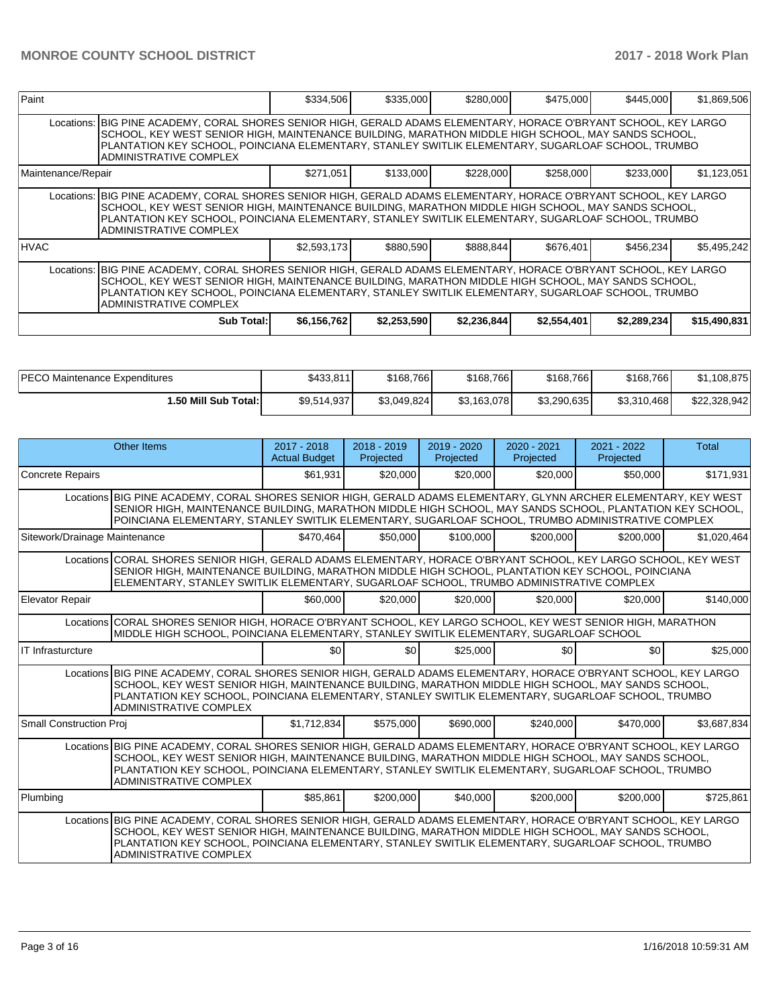| Paint                                                                                                                                                                                                                                                                                                                                                  |                                                                                                                                                                                                                                                                                                                                                               | \$334,506   | \$335,000   | \$280,000   | \$475,000   | \$445,000   | \$1,869,506  |  |  |  |
|--------------------------------------------------------------------------------------------------------------------------------------------------------------------------------------------------------------------------------------------------------------------------------------------------------------------------------------------------------|---------------------------------------------------------------------------------------------------------------------------------------------------------------------------------------------------------------------------------------------------------------------------------------------------------------------------------------------------------------|-------------|-------------|-------------|-------------|-------------|--------------|--|--|--|
|                                                                                                                                                                                                                                                                                                                                                        | Locations: BIG PINE ACADEMY, CORAL SHORES SENIOR HIGH, GERALD ADAMS ELEMENTARY, HORACE O'BRYANT SCHOOL, KEY LARGO<br>SCHOOL, KEY WEST SENIOR HIGH, MAINTENANCE BUILDING, MARATHON MIDDLE HIGH SCHOOL, MAY SANDS SCHOOL,<br>PLANTATION KEY SCHOOL, POINCIANA ELEMENTARY, STANLEY SWITLIK ELEMENTARY, SUGARLOAF SCHOOL, TRUMBO<br><b>ADMINISTRATIVE COMPLEX</b> |             |             |             |             |             |              |  |  |  |
| Maintenance/Repair                                                                                                                                                                                                                                                                                                                                     |                                                                                                                                                                                                                                                                                                                                                               | \$271,051   | \$133,000   | \$228,000   | \$258,000   | \$233,000   | \$1,123,051  |  |  |  |
|                                                                                                                                                                                                                                                                                                                                                        | Locations: BIG PINE ACADEMY, CORAL SHORES SENIOR HIGH, GERALD ADAMS ELEMENTARY, HORACE O'BRYANT SCHOOL, KEY LARGO<br>SCHOOL, KEY WEST SENIOR HIGH, MAINTENANCE BUILDING, MARATHON MIDDLE HIGH SCHOOL, MAY SANDS SCHOOL,<br>PLANTATION KEY SCHOOL, POINCIANA ELEMENTARY, STANLEY SWITLIK ELEMENTARY, SUGARLOAF SCHOOL, TRUMBO<br>ADMINISTRATIVE COMPLEX        |             |             |             |             |             |              |  |  |  |
| <b>HVAC</b>                                                                                                                                                                                                                                                                                                                                            |                                                                                                                                                                                                                                                                                                                                                               | \$2,593,173 | \$880,590   | \$888,844   | \$676,401   | \$456.234   | \$5,495,242  |  |  |  |
| Locations: BIG PINE ACADEMY, CORAL SHORES SENIOR HIGH, GERALD ADAMS ELEMENTARY, HORACE O'BRYANT SCHOOL, KEY LARGO<br>SCHOOL, KEY WEST SENIOR HIGH, MAINTENANCE BUILDING, MARATHON MIDDLE HIGH SCHOOL, MAY SANDS SCHOOL,<br>PLANTATION KEY SCHOOL, POINCIANA ELEMENTARY, STANLEY SWITLIK ELEMENTARY, SUGARLOAF SCHOOL, TRUMBO<br>ADMINISTRATIVE COMPLEX |                                                                                                                                                                                                                                                                                                                                                               |             |             |             |             |             |              |  |  |  |
|                                                                                                                                                                                                                                                                                                                                                        | <b>Sub Total:</b>                                                                                                                                                                                                                                                                                                                                             | \$6,156,762 | \$2,253,590 | \$2,236,844 | \$2,554,401 | \$2,289,234 | \$15,490,831 |  |  |  |

| <b>IPECO Maintenance Expenditures</b> | \$433,811   | \$168,766   | \$168,766   | \$168,766   | \$168,766   | \$1,108,875  |
|---------------------------------------|-------------|-------------|-------------|-------------|-------------|--------------|
| 1.50 Mill Sub Total:                  | \$9,514,937 | \$3,049,824 | \$3,163,078 | \$3,290,635 | \$3,310,468 | \$22,328,942 |

|                               | <b>Other Items</b>                                                                                                                                                                                                                                                                                                                                           | 2017 - 2018<br><b>Actual Budget</b> | 2018 - 2019<br>Projected | $2019 - 2020$<br>Projected | 2020 - 2021<br>Projected | $2021 - 2022$<br>Projected | Total       |
|-------------------------------|--------------------------------------------------------------------------------------------------------------------------------------------------------------------------------------------------------------------------------------------------------------------------------------------------------------------------------------------------------------|-------------------------------------|--------------------------|----------------------------|--------------------------|----------------------------|-------------|
| <b>Concrete Repairs</b>       |                                                                                                                                                                                                                                                                                                                                                              | \$61.931                            | \$20,000                 | \$20,000                   | \$20,000                 | \$50,000                   | \$171,931   |
|                               | Locations BIG PINE ACADEMY, CORAL SHORES SENIOR HIGH, GERALD ADAMS ELEMENTARY, GLYNN ARCHER ELEMENTARY, KEY WEST<br>SENIOR HIGH, MAINTENANCE BUILDING, MARATHON MIDDLE HIGH SCHOOL, MAY SANDS SCHOOL, PLANTATION KEY SCHOOL,<br>POINCIANA ELEMENTARY, STANLEY SWITLIK ELEMENTARY, SUGARLOAF SCHOOL, TRUMBO ADMINISTRATIVE COMPLEX                            |                                     |                          |                            |                          |                            |             |
| Sitework/Drainage Maintenance |                                                                                                                                                                                                                                                                                                                                                              | \$470.464                           | \$50,000                 | \$100,000                  | \$200,000                | \$200,000                  | \$1,020,464 |
|                               | Locations CORAL SHORES SENIOR HIGH, GERALD ADAMS ELEMENTARY, HORACE O'BRYANT SCHOOL, KEY LARGO SCHOOL, KEY WEST<br>SENIOR HIGH, MAINTENANCE BUILDING, MARATHON MIDDLE HIGH SCHOOL, PLANTATION KEY SCHOOL, POINCIANA<br>ELEMENTARY, STANLEY SWITLIK ELEMENTARY, SUGARLOAF SCHOOL, TRUMBO ADMINISTRATIVE COMPLEX                                               |                                     |                          |                            |                          |                            |             |
| <b>Elevator Repair</b>        |                                                                                                                                                                                                                                                                                                                                                              | \$60,000                            | \$20,000                 | \$20,000                   | \$20,000                 | \$20,000                   | \$140,000   |
|                               | Locations CORAL SHORES SENIOR HIGH. HORACE O'BRYANT SCHOOL. KEY LARGO SCHOOL. KEY WEST SENIOR HIGH. MARATHON<br>MIDDLE HIGH SCHOOL, POINCIANA ELEMENTARY, STANLEY SWITLIK ELEMENTARY, SUGARLOAF SCHOOL                                                                                                                                                       |                                     |                          |                            |                          |                            |             |
| IT Infrasturcture             |                                                                                                                                                                                                                                                                                                                                                              | \$0                                 | \$0                      | \$25,000                   | \$0                      | \$0                        | \$25,000    |
|                               | Locations BIG PINE ACADEMY, CORAL SHORES SENIOR HIGH, GERALD ADAMS ELEMENTARY, HORACE O'BRYANT SCHOOL, KEY LARGO<br>SCHOOL, KEY WEST SENIOR HIGH, MAINTENANCE BUILDING, MARATHON MIDDLE HIGH SCHOOL, MAY SANDS SCHOOL,<br>PLANTATION KEY SCHOOL, POINCIANA ELEMENTARY, STANLEY SWITLIK ELEMENTARY, SUGARLOAF SCHOOL, TRUMBO<br><b>ADMINISTRATIVE COMPLEX</b> |                                     |                          |                            |                          |                            |             |
| Small Construction Proj       |                                                                                                                                                                                                                                                                                                                                                              | \$1,712,834                         | \$575,000                | \$690,000                  | \$240,000                | \$470,000                  | \$3,687,834 |
|                               | Locations BIG PINE ACADEMY, CORAL SHORES SENIOR HIGH, GERALD ADAMS ELEMENTARY, HORACE O'BRYANT SCHOOL, KEY LARGO<br>SCHOOL, KEY WEST SENIOR HIGH, MAINTENANCE BUILDING, MARATHON MIDDLE HIGH SCHOOL, MAY SANDS SCHOOL,<br>PLANTATION KEY SCHOOL, POINCIANA ELEMENTARY, STANLEY SWITLIK ELEMENTARY, SUGARLOAF SCHOOL, TRUMBO<br><b>ADMINISTRATIVE COMPLEX</b> |                                     |                          |                            |                          |                            |             |
| Plumbing                      |                                                                                                                                                                                                                                                                                                                                                              | \$85.861                            | \$200,000                | \$40,000                   | \$200,000                | \$200.000                  | \$725,861   |
|                               | Locations BIG PINE ACADEMY, CORAL SHORES SENIOR HIGH, GERALD ADAMS ELEMENTARY, HORACE O'BRYANT SCHOOL, KEY LARGO<br>SCHOOL, KEY WEST SENIOR HIGH, MAINTENANCE BUILDING, MARATHON MIDDLE HIGH SCHOOL, MAY SANDS SCHOOL,<br>PLANTATION KEY SCHOOL, POINCIANA ELEMENTARY, STANLEY SWITLIK ELEMENTARY, SUGARLOAF SCHOOL, TRUMBO<br>ADMINISTRATIVE COMPLEX        |                                     |                          |                            |                          |                            |             |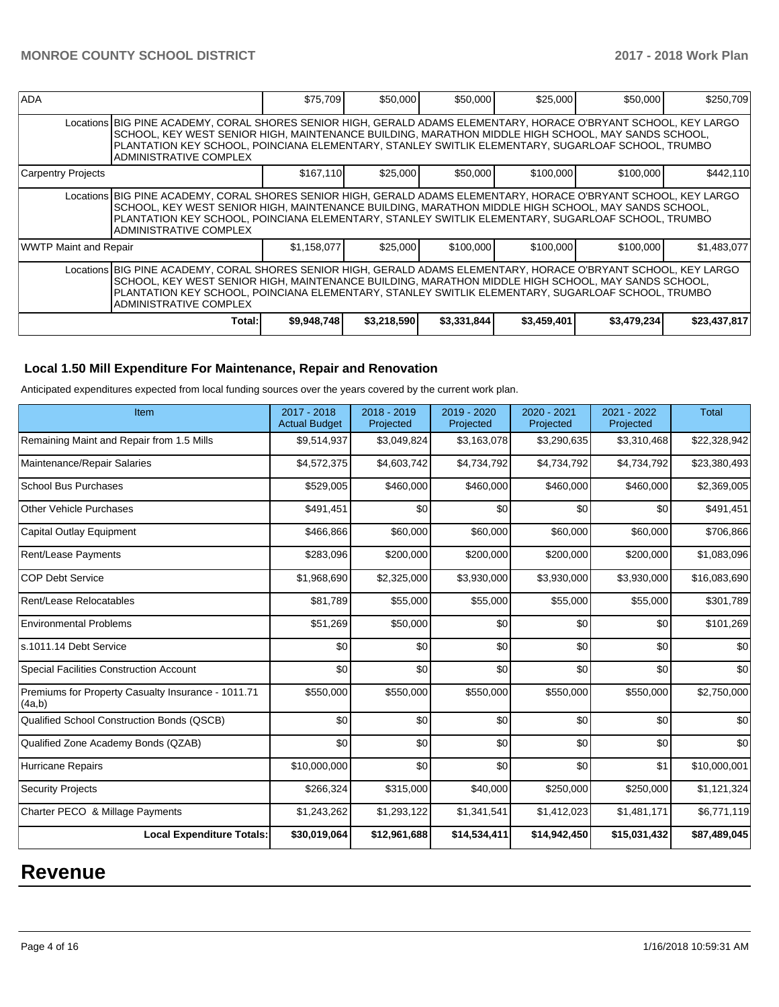| <b>ADA</b>                                                                                                                                                                                                                                                                                                                                             |                                                                                                                                                                                                                                                                                                                                                       | \$75,709    | \$50,000    | \$50,000    | \$25,000    | \$50,000    | \$250,709    |  |
|--------------------------------------------------------------------------------------------------------------------------------------------------------------------------------------------------------------------------------------------------------------------------------------------------------------------------------------------------------|-------------------------------------------------------------------------------------------------------------------------------------------------------------------------------------------------------------------------------------------------------------------------------------------------------------------------------------------------------|-------------|-------------|-------------|-------------|-------------|--------------|--|
|                                                                                                                                                                                                                                                                                                                                                        | Locations BIG PINE ACADEMY, CORAL SHORES SENIOR HIGH, GERALD ADAMS ELEMENTARY, HORACE O'BRYANT SCHOOL, KEY LARGO<br>SCHOOL, KEY WEST SENIOR HIGH, MAINTENANCE BUILDING, MARATHON MIDDLE HIGH SCHOOL, MAY SANDS SCHOOL,<br>PLANTATION KEY SCHOOL, POINCIANA ELEMENTARY, STANLEY SWITLIK ELEMENTARY, SUGARLOAF SCHOOL, TRUMBO<br>ADMINISTRATIVE COMPLEX |             |             |             |             |             |              |  |
| Carpentry Projects                                                                                                                                                                                                                                                                                                                                     |                                                                                                                                                                                                                                                                                                                                                       | \$167,110   | \$25,000    | \$50,000    | \$100,000   | \$100,000   | \$442,110    |  |
|                                                                                                                                                                                                                                                                                                                                                        | Locations BIG PINE ACADEMY, CORAL SHORES SENIOR HIGH, GERALD ADAMS ELEMENTARY, HORACE O'BRYANT SCHOOL, KEY LARGO<br>SCHOOL, KEY WEST SENIOR HIGH, MAINTENANCE BUILDING, MARATHON MIDDLE HIGH SCHOOL, MAY SANDS SCHOOL,<br>PLANTATION KEY SCHOOL, POINCIANA ELEMENTARY, STANLEY SWITLIK ELEMENTARY, SUGARLOAF SCHOOL, TRUMBO<br>ADMINISTRATIVE COMPLEX |             |             |             |             |             |              |  |
| <b>WWTP Maint and Repair</b>                                                                                                                                                                                                                                                                                                                           |                                                                                                                                                                                                                                                                                                                                                       | \$1,158,077 | \$25,000    | \$100,000   | \$100,000   | \$100,000   | \$1,483,077  |  |
| Locations BIG PINE ACADEMY, CORAL SHORES SENIOR HIGH, GERALD ADAMS ELEMENTARY, HORACE O'BRYANT SCHOOL, KEY LARGO<br>SCHOOL, KEY WEST SENIOR HIGH, MAINTENANCE BUILDING, MARATHON MIDDLE HIGH SCHOOL, MAY SANDS SCHOOL,<br>PLANTATION KEY SCHOOL, POINCIANA ELEMENTARY, STANLEY SWITLIK ELEMENTARY, SUGARLOAF SCHOOL, TRUMBO<br>IADMINISTRATIVE COMPLEX |                                                                                                                                                                                                                                                                                                                                                       |             |             |             |             |             |              |  |
|                                                                                                                                                                                                                                                                                                                                                        | Total:                                                                                                                                                                                                                                                                                                                                                | \$9,948,748 | \$3,218,590 | \$3,331,844 | \$3,459,401 | \$3,479,234 | \$23,437,817 |  |

## **Local 1.50 Mill Expenditure For Maintenance, Repair and Renovation**

Anticipated expenditures expected from local funding sources over the years covered by the current work plan.

| Item                                                         | 2017 - 2018<br><b>Actual Budget</b> | 2018 - 2019<br>Projected | 2019 - 2020<br>Projected | 2020 - 2021<br>Projected | 2021 - 2022<br>Projected | <b>Total</b> |
|--------------------------------------------------------------|-------------------------------------|--------------------------|--------------------------|--------------------------|--------------------------|--------------|
| Remaining Maint and Repair from 1.5 Mills                    | \$9,514,937                         | \$3,049,824              | \$3,163,078              | \$3,290,635              | \$3,310,468              | \$22,328,942 |
| Maintenance/Repair Salaries                                  | \$4,572,375                         | \$4,603,742              | \$4,734,792              | \$4,734,792              | \$4,734,792              | \$23,380,493 |
| <b>School Bus Purchases</b>                                  | \$529,005                           | \$460,000                | \$460,000                | \$460,000                | \$460,000                | \$2,369,005  |
| <b>Other Vehicle Purchases</b>                               | \$491,451                           | \$0                      | \$0                      | \$0                      | \$0                      | \$491,451    |
| <b>Capital Outlay Equipment</b>                              | \$466,866                           | \$60,000                 | \$60,000                 | \$60,000                 | \$60,000                 | \$706,866    |
| <b>Rent/Lease Payments</b>                                   | \$283,096                           | \$200,000                | \$200,000                | \$200,000                | \$200,000                | \$1,083,096  |
| <b>COP Debt Service</b>                                      | \$1,968,690                         | \$2,325,000              | \$3,930,000              | \$3,930,000              | \$3,930,000              | \$16,083,690 |
| Rent/Lease Relocatables                                      | \$81,789                            | \$55,000                 | \$55,000                 | \$55,000                 | \$55,000                 | \$301,789    |
| <b>Environmental Problems</b>                                | \$51,269                            | \$50,000                 | \$0                      | \$0                      | \$0                      | \$101,269    |
| s.1011.14 Debt Service                                       | \$0                                 | \$0                      | \$0                      | \$0                      | \$0                      | \$0          |
| <b>Special Facilities Construction Account</b>               | \$0                                 | \$0                      | \$0                      | \$0                      | \$0                      | \$0          |
| Premiums for Property Casualty Insurance - 1011.71<br>(4a,b) | \$550,000                           | \$550,000                | \$550,000                | \$550,000                | \$550,000                | \$2,750,000  |
| Qualified School Construction Bonds (QSCB)                   | \$0                                 | \$0                      | \$0                      | \$0                      | \$0                      | \$0          |
| Qualified Zone Academy Bonds (QZAB)                          | \$0                                 | \$0                      | \$0                      | \$0                      | \$0                      | \$0          |
| <b>Hurricane Repairs</b>                                     | \$10,000,000                        | \$0                      | \$0                      | \$0                      | \$1                      | \$10,000,001 |
| <b>Security Projects</b>                                     | \$266,324                           | \$315,000                | \$40,000                 | \$250,000                | \$250,000                | \$1,121,324  |
| Charter PECO & Millage Payments                              | \$1,243,262                         | \$1,293,122              | \$1,341,541              | \$1,412,023              | \$1,481,171              | \$6,771,119  |
| <b>Local Expenditure Totals:</b>                             | \$30,019,064                        | \$12,961,688             | \$14,534,411             | \$14,942,450             | \$15,031,432             | \$87,489,045 |

# **Revenue**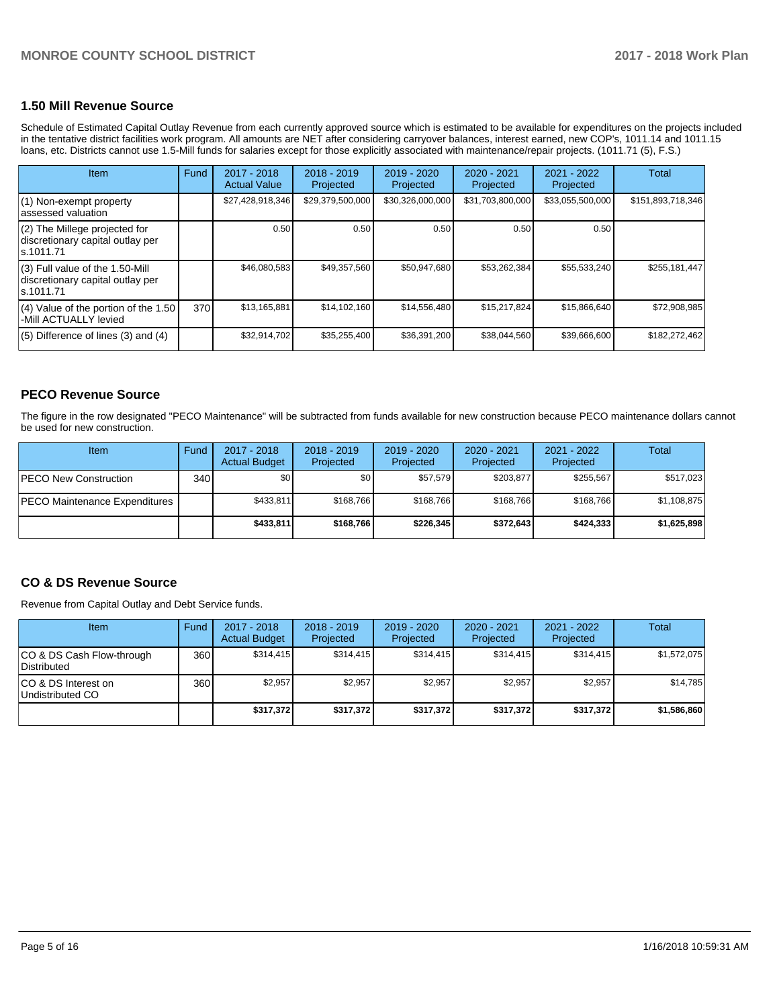## **1.50 Mill Revenue Source**

Schedule of Estimated Capital Outlay Revenue from each currently approved source which is estimated to be available for expenditures on the projects included in the tentative district facilities work program. All amounts are NET after considering carryover balances, interest earned, new COP's, 1011.14 and 1011.15 loans, etc. Districts cannot use 1.5-Mill funds for salaries except for those explicitly associated with maintenance/repair projects. (1011.71 (5), F.S.)

| Item                                                                                | Fund | $2017 - 2018$<br><b>Actual Value</b> | $2018 - 2019$<br>Projected | $2019 - 2020$<br>Projected | $2020 - 2021$<br>Projected | 2021 - 2022<br>Projected | Total             |
|-------------------------------------------------------------------------------------|------|--------------------------------------|----------------------------|----------------------------|----------------------------|--------------------------|-------------------|
| (1) Non-exempt property<br>lassessed valuation                                      |      | \$27,428,918,346                     | \$29,379,500,000           | \$30,326,000,000           | \$31,703,800,000           | \$33,055,500,000         | \$151,893,718,346 |
| $(2)$ The Millege projected for<br>discretionary capital outlay per<br>ls.1011.71   |      | 0.50                                 | 0.50                       | 0.50                       | 0.50                       | 0.50                     |                   |
| $(3)$ Full value of the 1.50-Mill<br>discretionary capital outlay per<br>ls.1011.71 |      | \$46,080,583                         | \$49,357,560               | \$50,947,680               | \$53,262,384               | \$55,533,240             | \$255,181,447     |
| $(4)$ Value of the portion of the 1.50<br>-Mill ACTUALLY levied                     | 370  | \$13,165,881                         | \$14,102,160               | \$14,556,480               | \$15,217,824               | \$15,866,640             | \$72,908,985      |
| $(5)$ Difference of lines $(3)$ and $(4)$                                           |      | \$32,914,702                         | \$35,255,400               | \$36,391,200               | \$38.044.560               | \$39,666,600             | \$182,272,462     |

## **PECO Revenue Source**

The figure in the row designated "PECO Maintenance" will be subtracted from funds available for new construction because PECO maintenance dollars cannot be used for new construction.

| Item                                 | Fund             | 2017 - 2018<br><b>Actual Budget</b> | $2018 - 2019$<br>Projected | 2019 - 2020<br>Projected | $2020 - 2021$<br>Projected | $2021 - 2022$<br>Projected | <b>Total</b> |
|--------------------------------------|------------------|-------------------------------------|----------------------------|--------------------------|----------------------------|----------------------------|--------------|
| <b>PECO New Construction</b>         | 340 <sup>1</sup> | \$0                                 | \$0 <sub>1</sub>           | \$57.579                 | \$203.877                  | \$255.567                  | \$517,023    |
| <b>PECO Maintenance Expenditures</b> |                  | \$433.811                           | \$168.766                  | \$168.766                | \$168.766                  | \$168,766                  | \$1,108,875  |
|                                      |                  | \$433,811                           | \$168.766                  | \$226.345                | \$372.643                  | \$424,333                  | \$1,625,898  |

## **CO & DS Revenue Source**

Revenue from Capital Outlay and Debt Service funds.

| <b>Item</b>                               | Fund | $2017 - 2018$<br><b>Actual Budget</b> | $2018 - 2019$<br>Projected | 2019 - 2020<br>Projected | $2020 - 2021$<br>Projected | $2021 - 2022$<br>Projected | <b>Total</b> |
|-------------------------------------------|------|---------------------------------------|----------------------------|--------------------------|----------------------------|----------------------------|--------------|
| ICO & DS Cash Flow-through<br>Distributed | 360  | \$314.415                             | \$314.415                  | \$314.415                | \$314.415                  | \$314.415                  | \$1,572,075  |
| ICO & DS Interest on<br>Undistributed CO  | 360  | \$2.957                               | \$2,957                    | \$2,957                  | \$2,957                    | \$2,957                    | \$14,785     |
|                                           |      | \$317,372                             | \$317.372                  | \$317.372                | \$317.372                  | \$317.372                  | \$1,586,860  |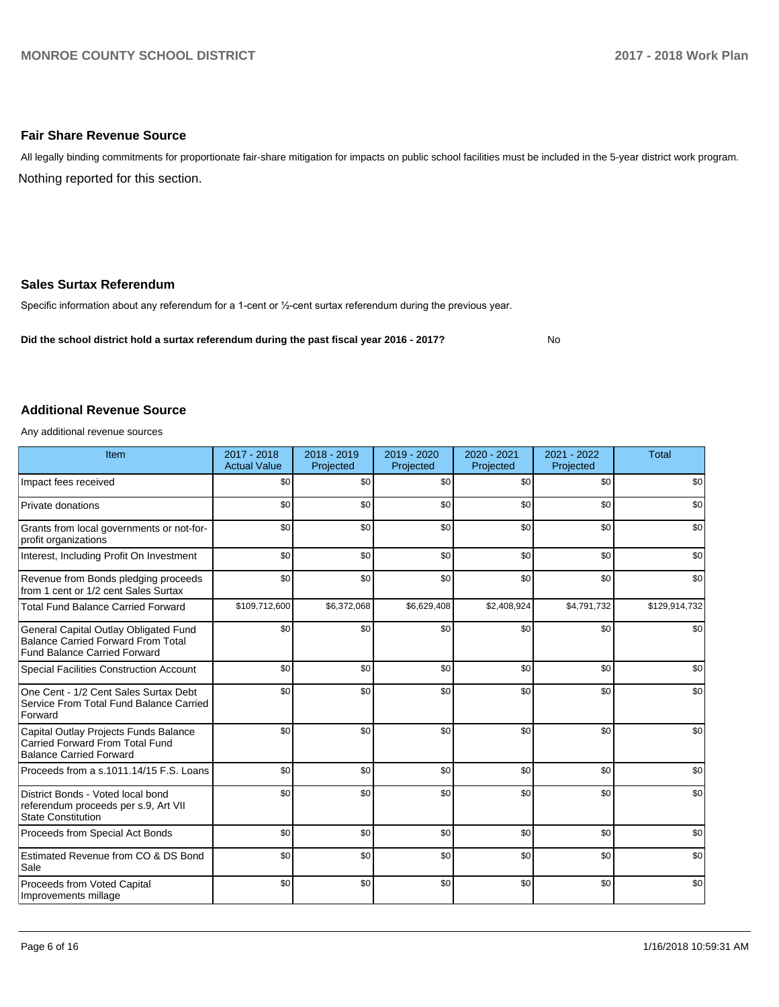## **Fair Share Revenue Source**

Nothing reported for this section. All legally binding commitments for proportionate fair-share mitigation for impacts on public school facilities must be included in the 5-year district work program.

## **Sales Surtax Referendum**

Specific information about any referendum for a 1-cent or 1/2-cent surtax referendum during the previous year.

**Did the school district hold a surtax referendum during the past fiscal year 2016 - 2017?**

No

### **Additional Revenue Source**

Any additional revenue sources

| Item                                                                                                                      | 2017 - 2018<br><b>Actual Value</b> | 2018 - 2019<br>Projected | 2019 - 2020<br>Projected | 2020 - 2021<br>Projected | 2021 - 2022<br>Projected | <b>Total</b>  |
|---------------------------------------------------------------------------------------------------------------------------|------------------------------------|--------------------------|--------------------------|--------------------------|--------------------------|---------------|
| Impact fees received                                                                                                      | \$0                                | \$0                      | \$0                      | \$0                      | \$0                      | \$0           |
| Private donations                                                                                                         | \$0                                | \$0                      | \$0                      | \$0                      | \$0                      | \$0           |
| Grants from local governments or not-for-<br>profit organizations                                                         | \$0                                | \$0                      | \$0                      | \$0                      | \$0                      | \$0           |
| Interest, Including Profit On Investment                                                                                  | \$0                                | \$0                      | \$0                      | \$0                      | \$0                      | \$0           |
| Revenue from Bonds pledging proceeds<br>from 1 cent or 1/2 cent Sales Surtax                                              | \$0                                | \$0                      | \$0                      | \$0                      | \$0                      | \$0           |
| <b>Total Fund Balance Carried Forward</b>                                                                                 | \$109,712,600                      | \$6,372,068              | \$6,629,408              | \$2,408,924              | \$4,791,732              | \$129,914,732 |
| General Capital Outlay Obligated Fund<br><b>Balance Carried Forward From Total</b><br><b>Fund Balance Carried Forward</b> | \$0                                | \$0                      | \$0                      | \$0                      | \$0                      | \$0           |
| <b>Special Facilities Construction Account</b>                                                                            | \$0                                | \$0                      | \$0                      | \$0                      | \$0                      | \$0           |
| One Cent - 1/2 Cent Sales Surtax Debt<br>Service From Total Fund Balance Carried<br>Forward                               | \$0                                | \$0                      | \$0                      | \$0                      | \$0                      | \$0           |
| Capital Outlay Projects Funds Balance<br><b>Carried Forward From Total Fund</b><br><b>Balance Carried Forward</b>         | \$0                                | \$0                      | \$0                      | \$0                      | \$0                      | \$0           |
| Proceeds from a s.1011.14/15 F.S. Loans                                                                                   | \$0                                | \$0                      | \$0                      | \$0                      | \$0                      | \$0           |
| District Bonds - Voted local bond<br>referendum proceeds per s.9, Art VII<br><b>State Constitution</b>                    | \$0                                | \$0                      | \$0                      | \$0                      | \$0                      | \$0           |
| Proceeds from Special Act Bonds                                                                                           | \$0                                | \$0                      | \$0                      | \$0                      | \$0                      | \$0           |
| Estimated Revenue from CO & DS Bond<br>Sale                                                                               | \$0                                | \$0                      | \$0                      | \$0                      | \$0                      | \$0           |
| Proceeds from Voted Capital<br>Improvements millage                                                                       | \$0                                | \$0                      | \$0                      | \$0                      | \$0                      | \$0           |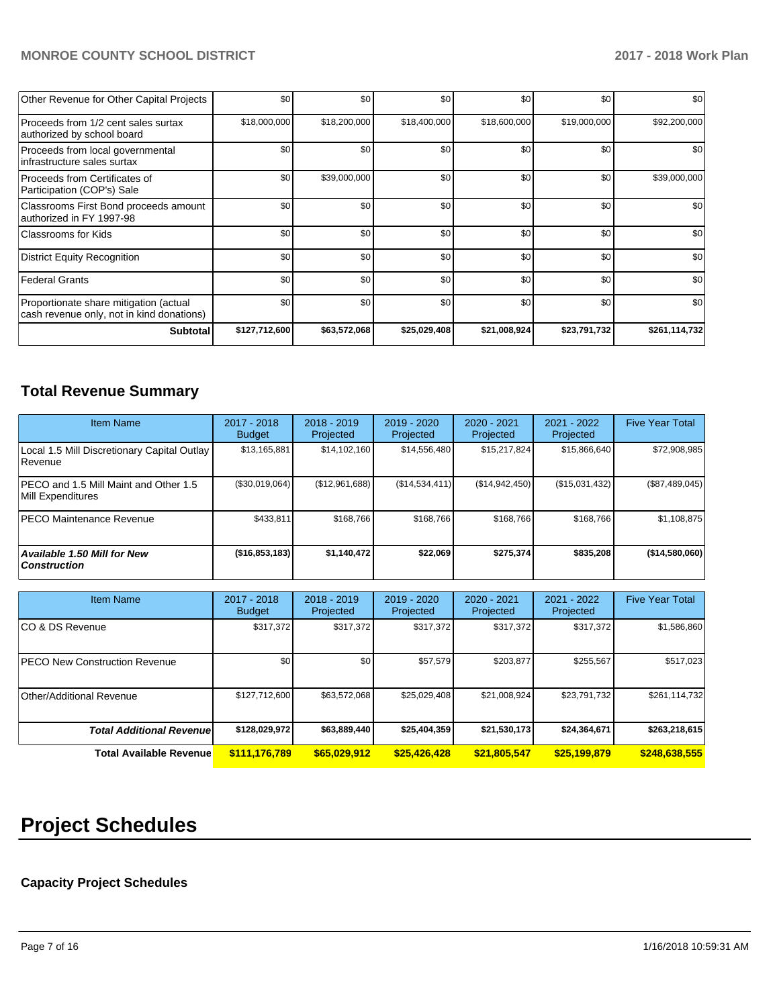## **MONROE COUNTY SCHOOL DISTRICT 2017 - 2018 Work Plan**

| Other Revenue for Other Capital Projects                                            | \$0           | \$0          | \$0          | \$0          | \$0          | \$0           |
|-------------------------------------------------------------------------------------|---------------|--------------|--------------|--------------|--------------|---------------|
| Proceeds from 1/2 cent sales surtax<br>authorized by school board                   | \$18,000,000  | \$18,200,000 | \$18,400,000 | \$18,600,000 | \$19,000,000 | \$92,200,000  |
| Proceeds from local governmental<br>infrastructure sales surtax                     | \$0           | \$0          | \$0          | \$0          | \$0          | \$0           |
| Proceeds from Certificates of<br>Participation (COP's) Sale                         | \$0           | \$39,000,000 | \$0          | \$0          | \$0          | \$39,000,000  |
| Classrooms First Bond proceeds amount<br>authorized in FY 1997-98                   | \$0           | \$0          | \$0          | \$0          | \$0          | \$0           |
| Classrooms for Kids                                                                 | \$0           | \$0          | \$0          | \$0          | \$0          | \$0           |
| District Equity Recognition                                                         | \$0           | \$0          | \$0          | \$0          | \$0          | \$0           |
| <b>Federal Grants</b>                                                               | \$0           | \$0          | \$0          | \$0          | \$0          | \$0           |
| Proportionate share mitigation (actual<br>cash revenue only, not in kind donations) | \$0           | \$0          | \$0          | \$0          | \$0          | \$0           |
| <b>Subtotal</b>                                                                     | \$127,712,600 | \$63,572,068 | \$25,029,408 | \$21,008,924 | \$23,791,732 | \$261,114,732 |

# **Total Revenue Summary**

| <b>Item Name</b>                                              | 2017 - 2018<br>Budget | $2018 - 2019$<br>Projected | $2019 - 2020$<br>Projected | $2020 - 2021$<br>Projected | 2021 - 2022<br>Projected | <b>Five Year Total</b> |
|---------------------------------------------------------------|-----------------------|----------------------------|----------------------------|----------------------------|--------------------------|------------------------|
| Local 1.5 Mill Discretionary Capital Outlay<br><b>Revenue</b> | \$13,165,881          | \$14,102,160               | \$14,556,480               | \$15,217,824               | \$15,866,640             | \$72,908,985           |
| PECO and 1.5 Mill Maint and Other 1.5<br>Mill Expenditures    | (\$30,019,064)        | (\$12,961,688)             | (S14, 534, 411)            | (S14, 942, 450)            | (\$15,031,432)           | (\$87,489,045)         |
| <b>IPECO Maintenance Revenue</b>                              | \$433,811             | \$168,766                  | \$168.766                  | \$168,766                  | \$168.766                | \$1,108,875            |
| Available 1.50 Mill for New<br>  Construction                 | (\$16,853,183)        | \$1,140,472                | \$22,069                   | \$275,374                  | \$835,208                | (\$14,580,060)         |

| <b>Item Name</b>                      | $2017 - 2018$<br><b>Budget</b> | $2018 - 2019$<br>Projected | $2019 - 2020$<br>Projected | $2020 - 2021$<br>Projected | $2021 - 2022$<br>Projected | <b>Five Year Total</b> |
|---------------------------------------|--------------------------------|----------------------------|----------------------------|----------------------------|----------------------------|------------------------|
| ICO & DS Revenue                      | \$317,372                      | \$317,372                  | \$317,372                  | \$317,372                  | \$317,372                  | \$1,586,860            |
| <b>IPECO New Construction Revenue</b> | \$0 <sub>1</sub>               | \$0                        | \$57,579                   | \$203,877                  | \$255,567                  | \$517,023              |
| Other/Additional Revenue              | \$127,712,600                  | \$63,572,068               | \$25,029,408               | \$21,008,924               | \$23,791,732               | \$261,114,732          |
| <b>Total Additional Revenuel</b>      | \$128,029,972                  | \$63,889,440               | \$25,404,359               | \$21,530,173               | \$24,364,671               | \$263,218,615          |
| <b>Total Available Revenue</b>        | \$111,176,789                  | \$65,029,912               | \$25,426,428               | \$21,805,547               | \$25,199,879               | \$248,638,555          |

# **Project Schedules**

## **Capacity Project Schedules**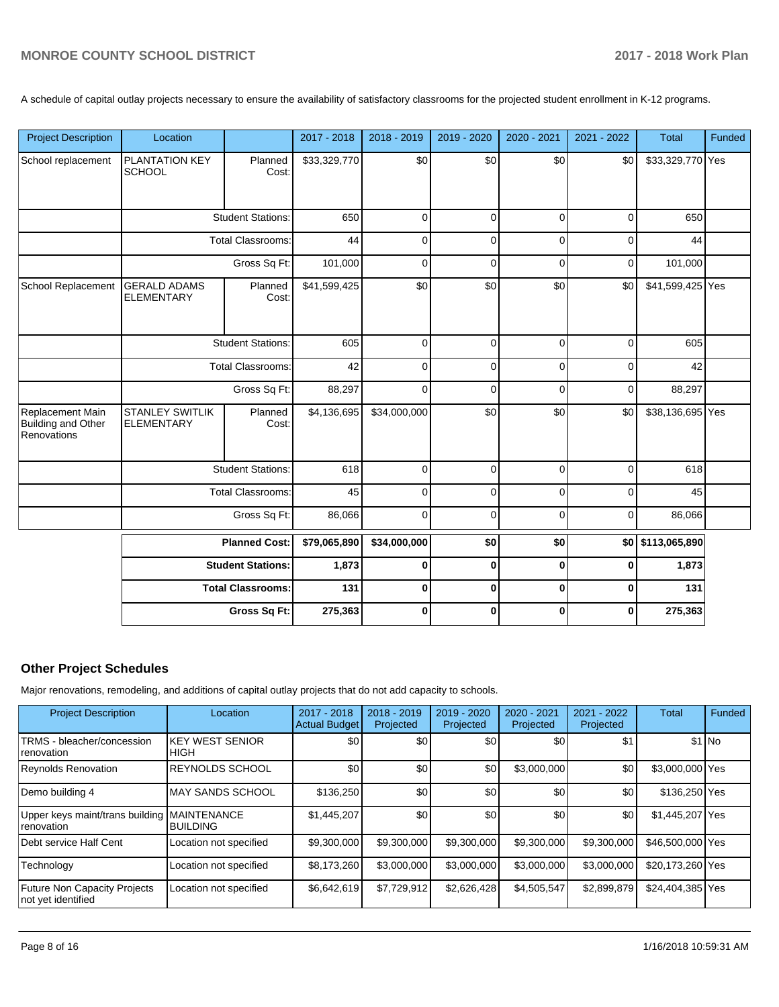A schedule of capital outlay projects necessary to ensure the availability of satisfactory classrooms for the projected student enrollment in K-12 programs.

| <b>Project Description</b>                                   | Location                                                                     |                          | 2017 - 2018  | 2018 - 2019  | 2019 - 2020  | 2020 - 2021  | 2021 - 2022 | <b>Total</b>      | Funded |
|--------------------------------------------------------------|------------------------------------------------------------------------------|--------------------------|--------------|--------------|--------------|--------------|-------------|-------------------|--------|
| School replacement                                           | PLANTATION KEY<br><b>SCHOOL</b>                                              | Planned<br>Cost:         | \$33,329,770 | \$0          | \$0          | \$0          | \$0         | \$33,329,770 Yes  |        |
|                                                              | <b>Student Stations:</b>                                                     |                          | 650          | 0            | $\mathbf 0$  | $\mathbf 0$  | $\mathbf 0$ | 650               |        |
|                                                              |                                                                              | <b>Total Classrooms:</b> | 44           | $\Omega$     | $\mathbf 0$  | $\mathbf 0$  | $\mathbf 0$ | 44                |        |
|                                                              |                                                                              | Gross Sq Ft:             | 101,000      | 0            | $\mathbf 0$  | $\mathbf 0$  | $\pmb{0}$   | 101,000           |        |
| School Replacement                                           | <b>GERALD ADAMS</b><br><b>ELEMENTARY</b>                                     | Planned<br>Cost:         | \$41,599,425 | \$0          | \$0          | \$0          | \$0         | \$41,599,425 Yes  |        |
|                                                              | <b>Student Stations:</b>                                                     |                          | 605          | 0            | $\pmb{0}$    | $\mathbf 0$  | $\mathbf 0$ | 605               |        |
|                                                              | <b>Total Classrooms:</b>                                                     |                          | 42           | $\Omega$     | $\mathbf 0$  | $\mathbf 0$  | $\mathbf 0$ | 42                |        |
|                                                              | Gross Sq Ft:                                                                 |                          | 88,297       | $\Omega$     | $\mathbf 0$  | $\Omega$     | $\mathbf 0$ | 88,297            |        |
| Replacement Main<br><b>Building and Other</b><br>Renovations | <b>STANLEY SWITLIK</b><br><b>ELEMENTARY</b>                                  | Planned<br>Cost:         | \$4,136,695  | \$34,000,000 | \$0          | \$0          | \$0         | \$38,136,695 Yes  |        |
|                                                              |                                                                              | <b>Student Stations:</b> | 618          | $\Omega$     | $\mathbf 0$  | $\mathbf 0$  | $\mathbf 0$ | 618               |        |
|                                                              |                                                                              | <b>Total Classrooms:</b> | 45           | $\Omega$     | $\mathbf 0$  | $\Omega$     | $\mathbf 0$ | 45                |        |
|                                                              |                                                                              | Gross Sq Ft:             | 86,066       | 0            | $\mathbf 0$  | $\mathbf 0$  | 0           | 86,066            |        |
|                                                              | <b>Planned Cost:</b><br><b>Student Stations:</b><br><b>Total Classrooms:</b> |                          | \$79,065,890 | \$34,000,000 | \$0          | \$0          |             | \$0 \$113,065,890 |        |
|                                                              |                                                                              |                          | 1,873        | 0            | $\mathbf{0}$ | $\mathbf 0$  | $\mathbf 0$ | 1,873             |        |
|                                                              |                                                                              |                          | 131          | 0            | $\mathbf 0$  | $\mathbf 0$  | $\mathbf 0$ | 131               |        |
|                                                              |                                                                              | Gross Sq Ft:             | 275,363      | $\bf{0}$     | $\mathbf{0}$ | $\mathbf{0}$ | $\bf{0}$    | 275,363           |        |

## **Other Project Schedules**

Major renovations, remodeling, and additions of capital outlay projects that do not add capacity to schools.

| <b>Project Description</b>                                | Location                              | 2017 - 2018<br><b>Actual Budget</b> | 2018 - 2019<br>Projected | 2019 - 2020<br>Projected | $2020 - 2021$<br>Projected | 2021 - 2022<br>Projected | <b>Total</b>     | Funded  |
|-----------------------------------------------------------|---------------------------------------|-------------------------------------|--------------------------|--------------------------|----------------------------|--------------------------|------------------|---------|
| TRMS - bleacher/concession<br>renovation                  | <b>KEY WEST SENIOR</b><br>IHIGH       | \$0                                 | \$0                      | \$0                      | \$0                        | \$1                      |                  | $$1$ No |
| <b>Reynolds Renovation</b>                                | <b>IREYNOLDS SCHOOL</b>               | \$0                                 | \$0                      | \$0                      | \$3,000,000                | \$0                      | \$3,000,000 Yes  |         |
| Demo building 4                                           | <b>MAY SANDS SCHOOL</b>               | \$136,250                           | \$0                      | \$0                      | \$0                        | \$0                      | \$136,250 Yes    |         |
| Upper keys maint/trans building<br>renovation             | <b>MAINTENANCE</b><br><b>BUILDING</b> | \$1,445,207                         | \$0                      | \$0                      | \$0                        | \$0                      | \$1,445,207 Yes  |         |
| Debt service Half Cent                                    | Location not specified                | \$9,300,000                         | \$9,300,000              | \$9,300,000              | \$9,300,000                | \$9,300,000              | \$46,500,000 Yes |         |
| Technology                                                | Location not specified                | \$8.173.260                         | \$3,000,000              | \$3,000,000              | \$3,000,000                | \$3,000,000              | \$20.173.260 Yes |         |
| <b>Future Non Capacity Projects</b><br>not yet identified | Location not specified                | \$6,642,619                         | \$7,729,912              | \$2,626,428              | \$4,505,547                | \$2,899,879              | \$24,404,385 Yes |         |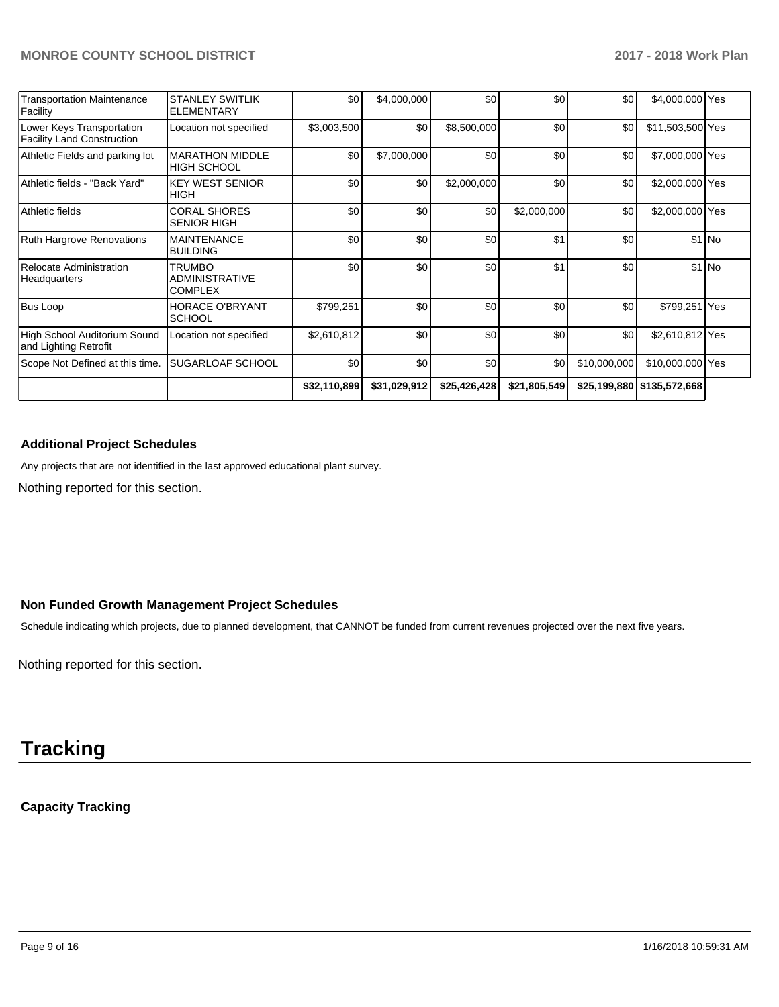| <b>Transportation Maintenance</b><br>Facility                  | <b>STANLEY SWITLIK</b><br><b>ELEMENTARY</b>       | \$0          | \$4,000,000  | \$0          | \$0 <sub>1</sub> | \$0          | \$4,000,000 Yes              |         |
|----------------------------------------------------------------|---------------------------------------------------|--------------|--------------|--------------|------------------|--------------|------------------------------|---------|
| Lower Keys Transportation<br><b>Facility Land Construction</b> | Location not specified                            | \$3,003,500  | \$0          | \$8,500,000  | \$0              | \$0          | \$11,503,500 Yes             |         |
| Athletic Fields and parking lot                                | <b>MARATHON MIDDLE</b><br><b>HIGH SCHOOL</b>      | \$0          | \$7,000,000  | \$0          | \$0              | \$0          | \$7,000,000 Yes              |         |
| Athletic fields - "Back Yard"                                  | <b>KEY WEST SENIOR</b><br><b>HIGH</b>             | \$0          | \$0          | \$2,000,000  | \$0 <sub>1</sub> | \$0          | \$2,000,000 Yes              |         |
| Athletic fields                                                | <b>CORAL SHORES</b><br><b>SENIOR HIGH</b>         | \$0          | \$0          | \$0          | \$2,000,000      | \$0          | \$2,000,000 Yes              |         |
| Ruth Hargrove Renovations                                      | <b>MAINTENANCE</b><br><b>BUILDING</b>             | \$0          | \$0          | \$0          | \$1              | \$0          |                              | $$1$ No |
| Relocate Administration<br>Headquarters                        | TRUMBO<br><b>ADMINISTRATIVE</b><br><b>COMPLEX</b> | \$0          | \$0          | \$0          | \$1              | \$0          |                              | $$1$ No |
| <b>Bus Loop</b>                                                | <b>HORACE O'BRYANT</b><br><b>SCHOOL</b>           | \$799,251    | \$0          | \$0          | \$0              | \$0          | \$799,251 Yes                |         |
| High School Auditorium Sound<br>and Lighting Retrofit          | Location not specified                            | \$2,610,812  | \$0          | \$0          | \$0 <sub>1</sub> | \$0          | \$2,610,812 Yes              |         |
| Scope Not Defined at this time.                                | <b>SUGARLOAF SCHOOL</b>                           | \$0          | \$0          | \$0          | \$0              | \$10,000,000 | \$10,000,000 Yes             |         |
|                                                                |                                                   | \$32,110,899 | \$31,029,912 | \$25,426,428 | \$21,805,549     |              | \$25,199,880   \$135,572,668 |         |

## **Additional Project Schedules**

Any projects that are not identified in the last approved educational plant survey.

Nothing reported for this section.

## **Non Funded Growth Management Project Schedules**

Schedule indicating which projects, due to planned development, that CANNOT be funded from current revenues projected over the next five years.

Nothing reported for this section.

# **Tracking**

## **Capacity Tracking**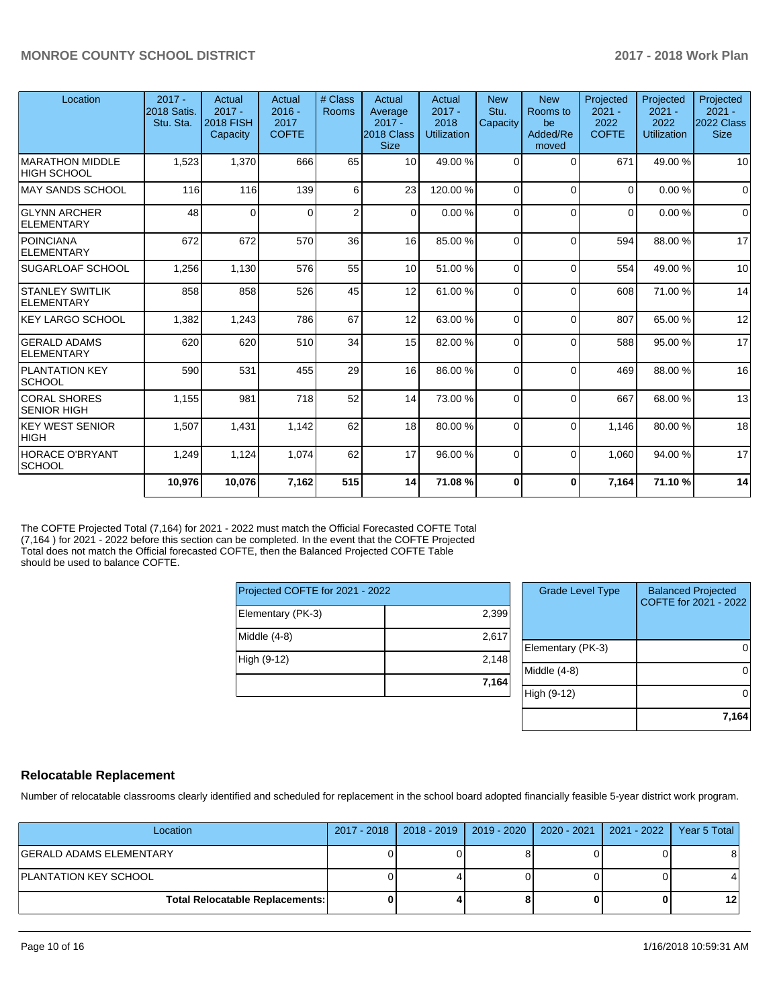| Location                                     | $2017 -$<br><b>2018 Satis.</b><br>Stu. Sta. | Actual<br>$2017 -$<br><b>2018 FISH</b><br>Capacity | Actual<br>$2016 -$<br>2017<br><b>COFTE</b> | # Class<br><b>Rooms</b> | Actual<br>Average<br>$2017 -$<br>2018 Class<br><b>Size</b> | Actual<br>$2017 -$<br>2018<br><b>Utilization</b> | <b>New</b><br>Stu.<br>Capacity | <b>New</b><br>Rooms to<br>be<br>Added/Re<br>moved | Projected<br>$2021 -$<br>2022<br><b>COFTE</b> | Projected<br>$2021 -$<br>2022<br><b>Utilization</b> | Projected<br>$2021 -$<br>2022 Class<br><b>Size</b> |
|----------------------------------------------|---------------------------------------------|----------------------------------------------------|--------------------------------------------|-------------------------|------------------------------------------------------------|--------------------------------------------------|--------------------------------|---------------------------------------------------|-----------------------------------------------|-----------------------------------------------------|----------------------------------------------------|
| <b>MARATHON MIDDLE</b><br><b>HIGH SCHOOL</b> | 1,523                                       | 1,370                                              | 666                                        | 65                      | 10                                                         | 49.00 %                                          | 0                              | $\Omega$                                          | 671                                           | 49.00 %                                             | 10                                                 |
| <b>MAY SANDS SCHOOL</b>                      | 116                                         | 116                                                | 139                                        | 6                       | 23                                                         | 120.00%                                          | $\Omega$                       | $\Omega$                                          | $\Omega$                                      | 0.00%                                               | $\Omega$                                           |
| <b>GLYNN ARCHER</b><br><b>ELEMENTARY</b>     | 48                                          | $\Omega$                                           | $\Omega$                                   | $\overline{2}$          | $\Omega$                                                   | 0.00%                                            | $\Omega$                       | $\Omega$                                          | $\Omega$                                      | 0.00%                                               | $\Omega$                                           |
| <b>POINCIANA</b><br><b>ELEMENTARY</b>        | 672                                         | 672                                                | 570                                        | 36                      | 16                                                         | 85.00 %                                          | $\Omega$                       | $\Omega$                                          | 594                                           | 88.00 %                                             | 17                                                 |
| <b>SUGARLOAF SCHOOL</b>                      | 1,256                                       | 1,130                                              | 576                                        | 55                      | 10                                                         | 51.00 %                                          | $\Omega$                       | $\Omega$                                          | 554                                           | 49.00 %                                             | 10                                                 |
| <b>STANLEY SWITLIK</b><br><b>ELEMENTARY</b>  | 858                                         | 858                                                | 526                                        | 45                      | 12                                                         | 61.00%                                           | 0                              | $\Omega$                                          | 608                                           | 71.00 %                                             | 14                                                 |
| <b>KEY LARGO SCHOOL</b>                      | 1,382                                       | 1,243                                              | 786                                        | 67                      | 12                                                         | 63.00 %                                          | $\Omega$                       | $\Omega$                                          | 807                                           | 65.00 %                                             | 12                                                 |
| <b>GERALD ADAMS</b><br><b>ELEMENTARY</b>     | 620                                         | 620                                                | 510                                        | 34                      | 15                                                         | 82.00 %                                          | $\Omega$                       | $\Omega$                                          | 588                                           | 95.00 %                                             | 17                                                 |
| <b>PLANTATION KEY</b><br><b>SCHOOL</b>       | 590                                         | 531                                                | 455                                        | 29                      | 16                                                         | 86.00 %                                          | 0                              | $\Omega$                                          | 469                                           | 88.00 %                                             | 16                                                 |
| <b>CORAL SHORES</b><br><b>SENIOR HIGH</b>    | 1,155                                       | 981                                                | 718                                        | 52                      | 14                                                         | 73.00 %                                          | $\Omega$                       | $\Omega$                                          | 667                                           | 68.00%                                              | 13                                                 |
| <b>KEY WEST SENIOR</b><br><b>HIGH</b>        | 1,507                                       | 1,431                                              | 1,142                                      | 62                      | 18                                                         | 80.00 %                                          | $\Omega$                       | $\Omega$                                          | 1.146                                         | 80.00 %                                             | 18                                                 |
| <b>HORACE O'BRYANT</b><br><b>SCHOOL</b>      | 1,249                                       | 1,124                                              | 1,074                                      | 62                      | 17                                                         | 96.00 %                                          | 0                              | $\Omega$                                          | 1,060                                         | 94.00 %                                             | 17                                                 |
|                                              | 10,976                                      | 10,076                                             | 7,162                                      | 515                     | 14                                                         | 71.08%                                           | 0                              | $\mathbf 0$                                       | 7,164                                         | 71.10%                                              | 14                                                 |

The COFTE Projected Total (7,164) for 2021 - 2022 must match the Official Forecasted COFTE Total (7,164 ) for 2021 - 2022 before this section can be completed. In the event that the COFTE Projected Total does not match the Official forecasted COFTE, then the Balanced Projected COFTE Table should be used to balance COFTE.

| Projected COFTE for 2021 - 2022 |       |  |  |  |  |  |
|---------------------------------|-------|--|--|--|--|--|
| Elementary (PK-3)               | 2,399 |  |  |  |  |  |
| Middle (4-8)                    | 2,617 |  |  |  |  |  |
| High (9-12)                     | 2,148 |  |  |  |  |  |
|                                 | 7,164 |  |  |  |  |  |

| <b>Grade Level Type</b> | <b>Balanced Projected</b><br>COFTE for 2021 - 2022 |
|-------------------------|----------------------------------------------------|
| Elementary (PK-3)       |                                                    |
| Middle $(4-8)$          |                                                    |
| High (9-12)             |                                                    |
|                         | 7,164                                              |

## **Relocatable Replacement**

Number of relocatable classrooms clearly identified and scheduled for replacement in the school board adopted financially feasible 5-year district work program.

| Location                               | 2017 - 2018   2018 - 2019 | 2019 - 2020   2020 - 2021   2021 - 2022 | Year 5 Total |
|----------------------------------------|---------------------------|-----------------------------------------|--------------|
| GERALD ADAMS ELEMENTARY                |                           |                                         |              |
| PLANTATION KEY SCHOOL                  |                           |                                         |              |
| <b>Total Relocatable Replacements:</b> |                           |                                         | 12           |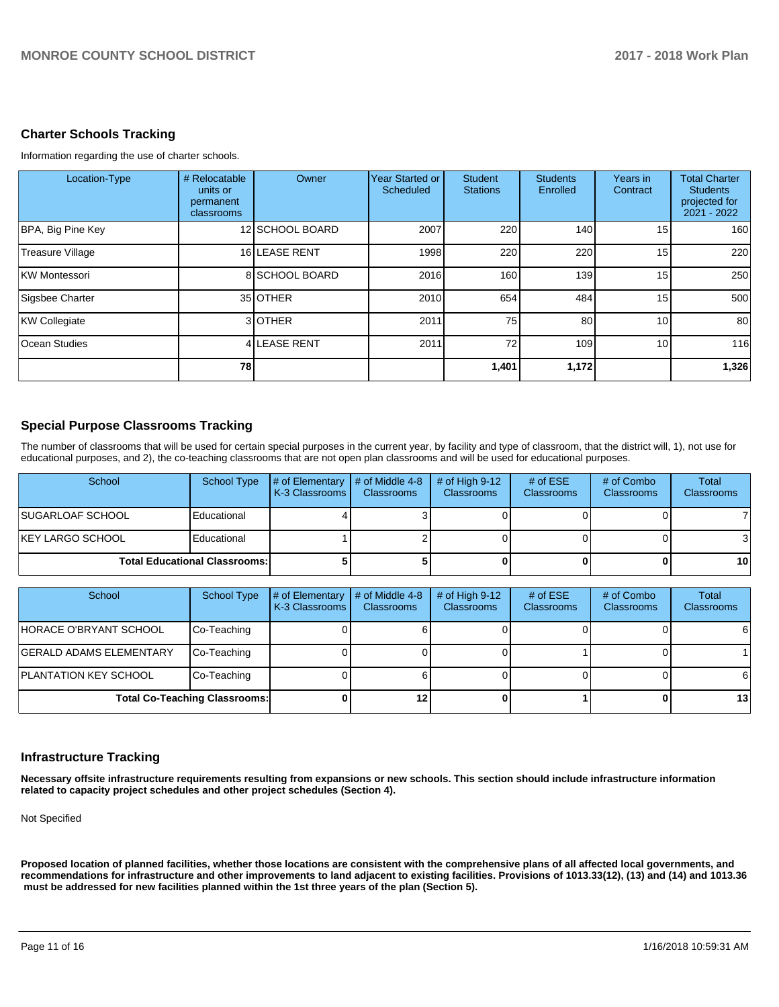## **Charter Schools Tracking**

Information regarding the use of charter schools.

| Location-Type           | # Relocatable<br>units or<br>permanent<br>classrooms | Owner           | Year Started or<br>Scheduled | Student<br><b>Stations</b> | <b>Students</b><br>Enrolled | Years in<br>Contract | <b>Total Charter</b><br><b>Students</b><br>projected for<br>2021 - 2022 |
|-------------------------|------------------------------------------------------|-----------------|------------------------------|----------------------------|-----------------------------|----------------------|-------------------------------------------------------------------------|
| BPA, Big Pine Key       |                                                      | 12 SCHOOL BOARD | 2007                         | 220                        | 140                         | 15 <sup>1</sup>      | 160                                                                     |
| <b>Treasure Village</b> |                                                      | 16 LEASE RENT   | 1998                         | 220                        | 220                         | 15                   | 220                                                                     |
| KW Montessori           |                                                      | 8 SCHOOL BOARD  | 2016                         | 160                        | 139 <sup>l</sup>            | 15 <sup>1</sup>      | 250                                                                     |
| Sigsbee Charter         |                                                      | 35 OTHER        | 2010                         | 654                        | 484                         | 15                   | 500                                                                     |
| KW Collegiate           |                                                      | 3 OTHER         | 2011                         | 75                         | 80                          | 10                   | 80                                                                      |
| <b>Ocean Studies</b>    |                                                      | 4 LEASE RENT    | 2011                         | 72                         | 109 <sup>l</sup>            | 10 <sup>1</sup>      | 116                                                                     |
|                         | 78                                                   |                 |                              | 1,401                      | 1,172                       |                      | 1,326                                                                   |

## **Special Purpose Classrooms Tracking**

The number of classrooms that will be used for certain special purposes in the current year, by facility and type of classroom, that the district will, 1), not use for educational purposes, and 2), the co-teaching classrooms that are not open plan classrooms and will be used for educational purposes.

| School                               | School Type | # of Elementary<br><b>IK-3 Classrooms I</b> | $\#$ of Middle 4-8<br><b>Classrooms</b> | $#$ of High 9-12<br><b>Classrooms</b> | # of $ESE$<br><b>Classrooms</b> | # of Combo<br><b>Classrooms</b> | Total<br><b>Classrooms</b> |
|--------------------------------------|-------------|---------------------------------------------|-----------------------------------------|---------------------------------------|---------------------------------|---------------------------------|----------------------------|
| SUGARLOAF SCHOOL_                    | Educational |                                             |                                         |                                       |                                 |                                 |                            |
| KEY LARGO SCHOOL                     | Educational |                                             |                                         |                                       |                                 |                                 |                            |
| <b>Total Educational Classrooms:</b> |             |                                             |                                         |                                       |                                 | 10 <sup>1</sup>                 |                            |

| School                               | School Type | # of Elementary<br>K-3 Classrooms | # of Middle 4-8<br><b>Classrooms</b> | # of High $9-12$<br><b>Classrooms</b> | # of $ESE$<br><b>Classrooms</b> | # of Combo<br><b>Classrooms</b> | Total<br><b>Classrooms</b> |
|--------------------------------------|-------------|-----------------------------------|--------------------------------------|---------------------------------------|---------------------------------|---------------------------------|----------------------------|
| HORACE O'BRYANT SCHOOL               | Co-Teaching |                                   |                                      |                                       |                                 |                                 | 61                         |
| <b>GERALD ADAMS ELEMENTARY</b>       | Co-Teaching |                                   |                                      |                                       |                                 |                                 |                            |
| <b>PLANTATION KEY SCHOOL</b>         | Co-Teaching |                                   |                                      |                                       |                                 |                                 | 61                         |
| <b>Total Co-Teaching Classrooms:</b> |             | 12                                |                                      |                                       |                                 | 13 <sup>l</sup>                 |                            |

## **Infrastructure Tracking**

**Necessary offsite infrastructure requirements resulting from expansions or new schools. This section should include infrastructure information related to capacity project schedules and other project schedules (Section 4).** 

Not Specified

**Proposed location of planned facilities, whether those locations are consistent with the comprehensive plans of all affected local governments, and recommendations for infrastructure and other improvements to land adjacent to existing facilities. Provisions of 1013.33(12), (13) and (14) and 1013.36 must be addressed for new facilities planned within the 1st three years of the plan (Section 5).**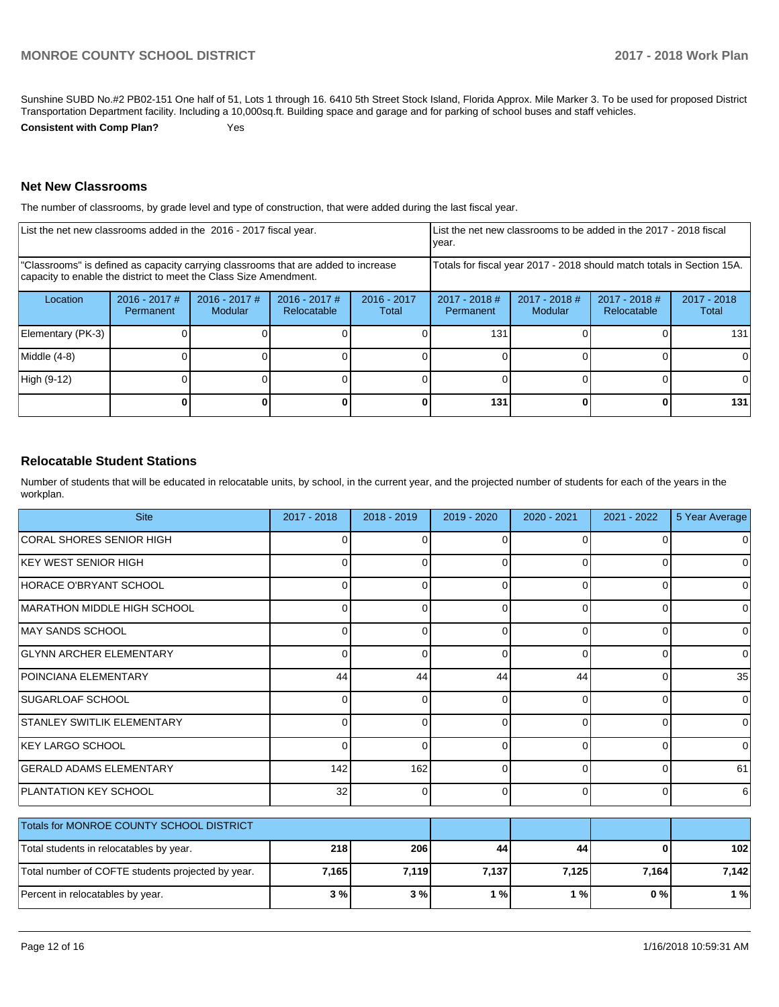Sunshine SUBD No.#2 PB02-151 One half of 51, Lots 1 through 16. 6410 5th Street Stock Island, Florida Approx. Mile Marker 3. To be used for proposed District Transportation Department facility. Including a 10,000sq.ft. Building space and garage and for parking of school buses and staff vehicles.

**Consistent with Comp Plan?** Yes

## **Net New Classrooms**

The number of classrooms, by grade level and type of construction, that were added during the last fiscal year.

| List the net new classrooms added in the 2016 - 2017 fiscal year.                                                                                       |                            |                                   |                                |                        | year.                                                                  | List the net new classrooms to be added in the 2017 - 2018 fiscal |                                |                      |
|---------------------------------------------------------------------------------------------------------------------------------------------------------|----------------------------|-----------------------------------|--------------------------------|------------------------|------------------------------------------------------------------------|-------------------------------------------------------------------|--------------------------------|----------------------|
| "Classrooms" is defined as capacity carrying classrooms that are added to increase<br>capacity to enable the district to meet the Class Size Amendment. |                            |                                   |                                |                        | Totals for fiscal year 2017 - 2018 should match totals in Section 15A. |                                                                   |                                |                      |
| Location                                                                                                                                                | 2016 - 2017 #<br>Permanent | $2016 - 2017$ #<br><b>Modular</b> | $2016 - 2017$ #<br>Relocatable | $2016 - 2017$<br>Total | $2017 - 2018$ #<br>Permanent                                           | 2017 - 2018 #<br>Modular                                          | $2017 - 2018$ #<br>Relocatable | 2017 - 2018<br>Total |
| Elementary (PK-3)                                                                                                                                       |                            |                                   |                                |                        | 131                                                                    |                                                                   |                                | 131                  |
| Middle (4-8)                                                                                                                                            |                            |                                   |                                |                        |                                                                        |                                                                   |                                | $\Omega$             |
| High (9-12)                                                                                                                                             |                            |                                   |                                |                        |                                                                        |                                                                   |                                | <sup>0</sup>         |
|                                                                                                                                                         |                            |                                   |                                |                        | 131                                                                    |                                                                   |                                | 131                  |

## **Relocatable Student Stations**

Number of students that will be educated in relocatable units, by school, in the current year, and the projected number of students for each of the years in the workplan.

| <b>Site</b>                                       | 2017 - 2018 | $2018 - 2019$ | 2019 - 2020 | 2020 - 2021 | 2021 - 2022    | 5 Year Average |
|---------------------------------------------------|-------------|---------------|-------------|-------------|----------------|----------------|
| <b>CORAL SHORES SENIOR HIGH</b>                   | 0           | 0             | $\mathbf 0$ | 0           | $\overline{0}$ | $\overline{0}$ |
| KEY WEST SENIOR HIGH                              | 0           | 0             | $\Omega$    | 0           | $\Omega$       | $\overline{0}$ |
| <b>HORACE O'BRYANT SCHOOL</b>                     | 0           | $\Omega$      | $\Omega$    | 0           | $\overline{0}$ | $\overline{0}$ |
| MARATHON MIDDLE HIGH SCHOOL                       | 0           | 0             | $\Omega$    | 0           | $\Omega$       | $\overline{0}$ |
| MAY SANDS SCHOOL                                  | 0           | 0             | $\Omega$    | $\Omega$    | $\overline{0}$ | $\overline{0}$ |
| <b>GLYNN ARCHER ELEMENTARY</b>                    | $\Omega$    | $\Omega$      | $\Omega$    | $\Omega$    | $\Omega$       | $\overline{0}$ |
| POINCIANA ELEMENTARY                              | 44          | 44            | 44          | 44          | $\Omega$       | 35             |
| <b>SUGARLOAF SCHOOL</b>                           | 0           | $\Omega$      | $\Omega$    | 0           | $\Omega$       | $\overline{0}$ |
| <b>STANLEY SWITLIK ELEMENTARY</b>                 | 0           | 0             | $\Omega$    | 0           | $\overline{0}$ | $\overline{0}$ |
| <b>KEY LARGO SCHOOL</b>                           | 0           | $\Omega$      | 0           | $\Omega$    | $\overline{0}$ | $\overline{0}$ |
| <b>GERALD ADAMS ELEMENTARY</b>                    | 142         | 162           | $\Omega$    | 0           | $\Omega$       | 61             |
| <b>PLANTATION KEY SCHOOL</b>                      | 32          | $\Omega$      | $\Omega$    | 0           | $\overline{0}$ | $6 \,$         |
| <b>Totals for MONROE COUNTY SCHOOL DISTRICT</b>   |             |               |             |             |                |                |
| Total students in relocatables by year.           | 218         | 206           | 44          | 44          | $\bf{0}$       | 102            |
| Total number of COFTE students projected by year. | 7,165       | 7,119         | 7,137       | 7,125       | 7,164          | 7,142          |
| Percent in relocatables by year.                  | 3%          | 3%            | 1%          | 1%          | 0%             | 1%             |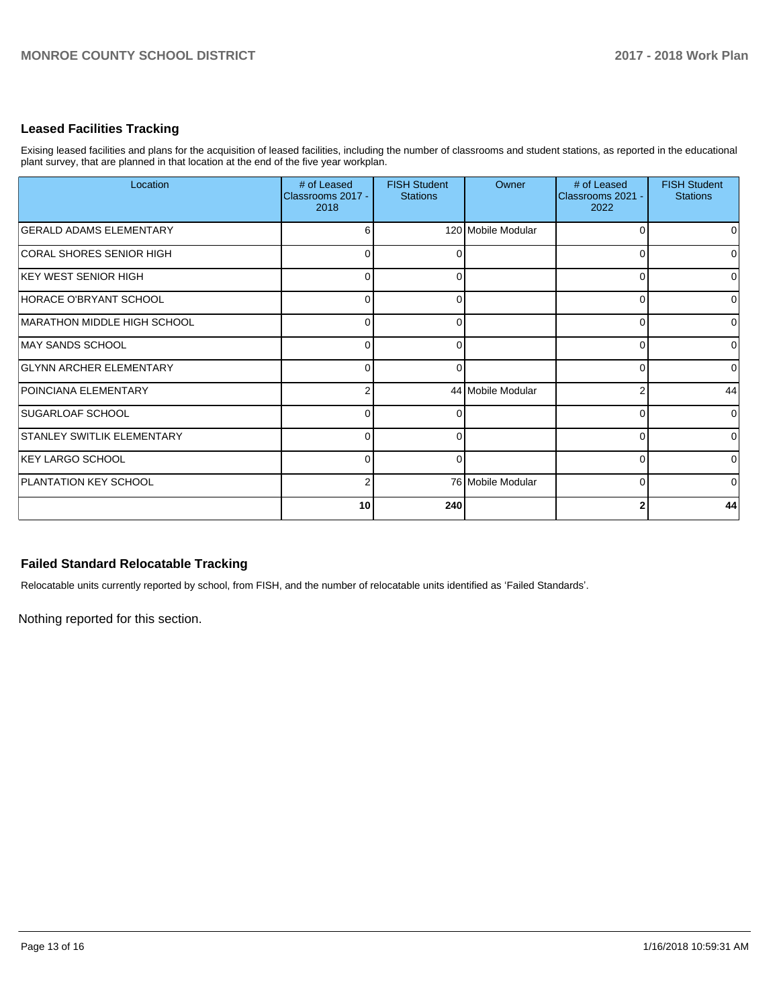## **Leased Facilities Tracking**

Exising leased facilities and plans for the acquisition of leased facilities, including the number of classrooms and student stations, as reported in the educational plant survey, that are planned in that location at the end of the five year workplan.

| Location                       | # of Leased<br>Classrooms 2017 -<br>2018 | <b>FISH Student</b><br><b>Stations</b> | Owner              | # of Leased<br>Classrooms 2021 -<br>2022 | <b>FISH Student</b><br><b>Stations</b> |
|--------------------------------|------------------------------------------|----------------------------------------|--------------------|------------------------------------------|----------------------------------------|
| <b>GERALD ADAMS ELEMENTARY</b> | 6                                        |                                        | 120 Mobile Modular | O                                        | $\Omega$                               |
| CORAL SHORES SENIOR HIGH       | $\Omega$                                 | ∩                                      |                    | $\Omega$                                 | $\Omega$                               |
| <b>IKEY WEST SENIOR HIGH</b>   | $\overline{0}$                           | $\Omega$                               |                    | 0                                        | $\overline{0}$                         |
| HORACE O'BRYANT SCHOOL         | $\Omega$                                 | ∩                                      |                    | $\Omega$                                 | $\overline{0}$                         |
| MARATHON MIDDLE HIGH SCHOOL    | $\overline{0}$                           | ∩                                      |                    | O                                        | $\overline{0}$                         |
| <b>MAY SANDS SCHOOL</b>        | $\Omega$                                 | ∩                                      |                    | O                                        | $\overline{0}$                         |
| <b>GLYNN ARCHER ELEMENTARY</b> | $\overline{0}$                           |                                        |                    | 0                                        | $\overline{0}$                         |
| <b>POINCIANA ELEMENTARY</b>    | $\overline{2}$                           |                                        | 44 Mobile Modular  |                                          | 44                                     |
| <b>ISUGARLOAF SCHOOL</b>       | $\overline{0}$                           |                                        |                    | ſ                                        | $\overline{0}$                         |
| STANLEY SWITLIK ELEMENTARY     | $\Omega$                                 | ∩                                      |                    | 0                                        | $\overline{0}$                         |
| KEY LARGO SCHOOL               | $\Omega$                                 |                                        |                    | O                                        | $\overline{0}$                         |
| <b>PLANTATION KEY SCHOOL</b>   | $\overline{2}$                           |                                        | 76 Mobile Modular  | 0                                        | $\overline{0}$                         |
|                                | 10 <sup>1</sup>                          | 240                                    |                    |                                          | 44                                     |

## **Failed Standard Relocatable Tracking**

Relocatable units currently reported by school, from FISH, and the number of relocatable units identified as 'Failed Standards'.

Nothing reported for this section.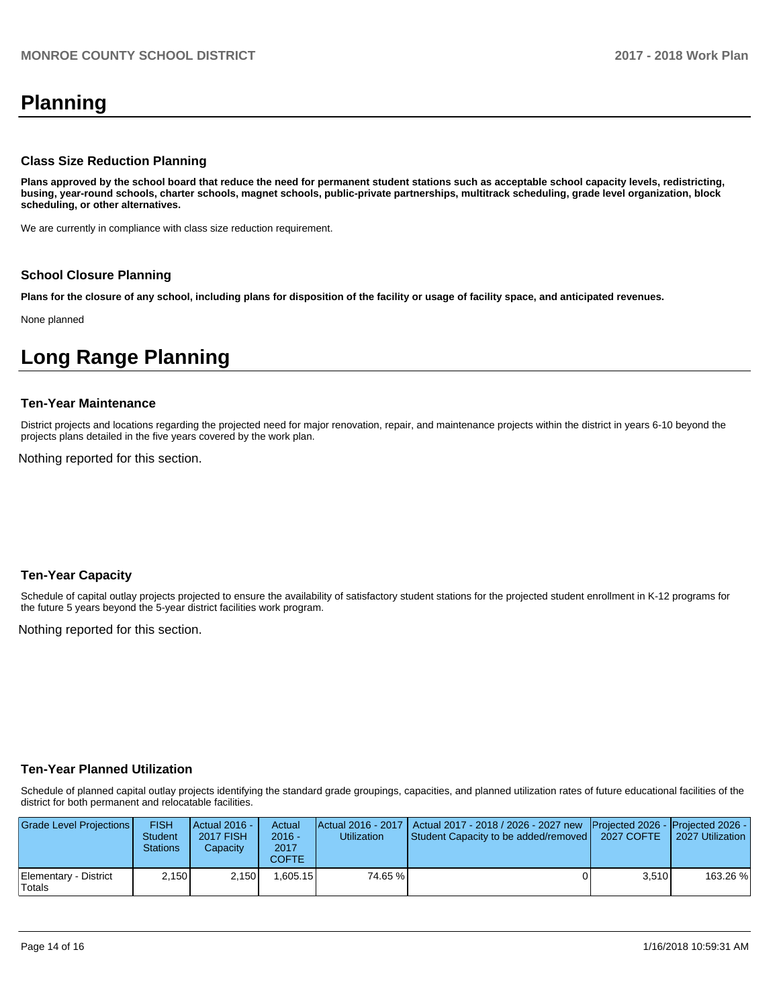# **Planning**

### **Class Size Reduction Planning**

**Plans approved by the school board that reduce the need for permanent student stations such as acceptable school capacity levels, redistricting, busing, year-round schools, charter schools, magnet schools, public-private partnerships, multitrack scheduling, grade level organization, block scheduling, or other alternatives.**

We are currently in compliance with class size reduction requirement.

#### **School Closure Planning**

**Plans for the closure of any school, including plans for disposition of the facility or usage of facility space, and anticipated revenues.** 

None planned

# **Long Range Planning**

#### **Ten-Year Maintenance**

District projects and locations regarding the projected need for major renovation, repair, and maintenance projects within the district in years 6-10 beyond the projects plans detailed in the five years covered by the work plan.

Nothing reported for this section.

## **Ten-Year Capacity**

Schedule of capital outlay projects projected to ensure the availability of satisfactory student stations for the projected student enrollment in K-12 programs for the future 5 years beyond the 5-year district facilities work program.

Nothing reported for this section.

## **Ten-Year Planned Utilization**

Schedule of planned capital outlay projects identifying the standard grade groupings, capacities, and planned utilization rates of future educational facilities of the district for both permanent and relocatable facilities.

| Grade Level Projections         | <b>FISH</b><br><b>Student</b><br><b>Stations</b> | Actual 2016 -<br><b>2017 FISH</b><br>Capacity | Actual<br>$2016 -$<br>2017<br>COFTE | Utilization | Actual 2016 - 2017   Actual 2017 - 2018 / 2026 - 2027 new   Projected 2026 -   Projected 2026 -<br>Student Capacity to be added/removed   2027 COFTE |       | 2027 Utilization |
|---------------------------------|--------------------------------------------------|-----------------------------------------------|-------------------------------------|-------------|------------------------------------------------------------------------------------------------------------------------------------------------------|-------|------------------|
| Elementary - District<br>Totals | 2,150                                            | 2.150                                         | .605.15                             | 74.65 %     |                                                                                                                                                      | 3.510 | 163.26 %         |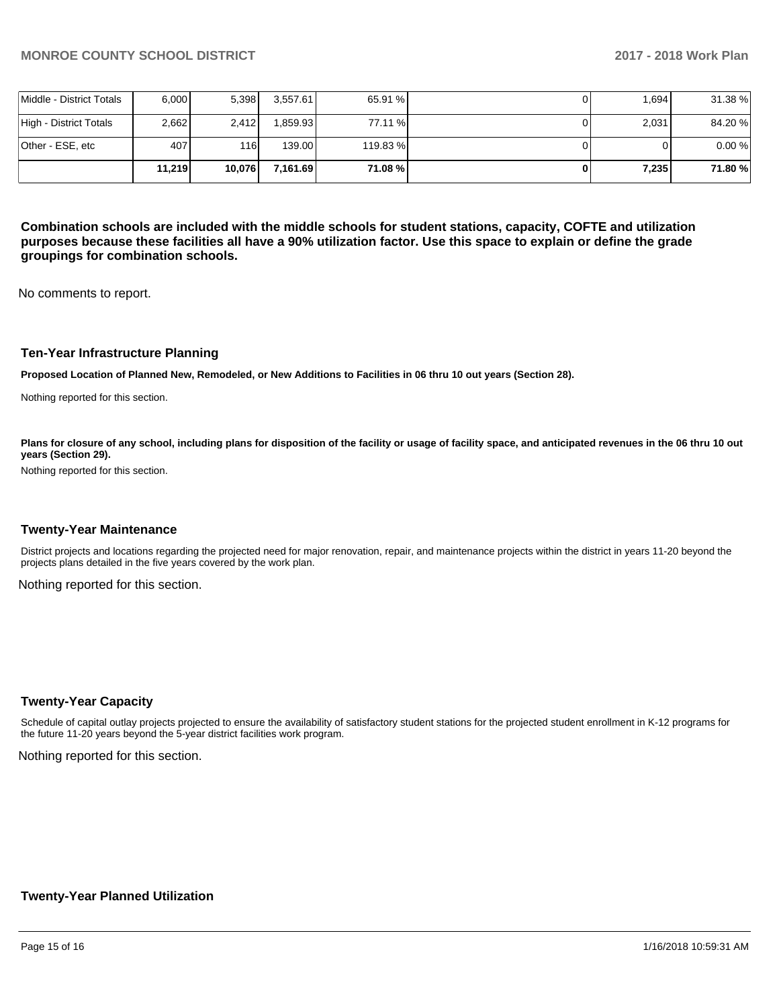|                          | 11.219 | 10.076 | 7.161.69 | 71.08 %  | 7,235 | 71.80%  |
|--------------------------|--------|--------|----------|----------|-------|---------|
| lOther - ESE. etc        | 407    | 116I   | 139.00   | 119.83 % |       | 0.00%   |
| High - District Totals   | 2.662  | 2.412  | 1.859.93 | 77.11 %  | 2,031 | 84.20%  |
| Middle - District Totals | 6.000  | 5,398  | 3.557.61 | 65.91 %  | 1.694 | 31.38 % |

**Combination schools are included with the middle schools for student stations, capacity, COFTE and utilization purposes because these facilities all have a 90% utilization factor. Use this space to explain or define the grade groupings for combination schools.** 

No comments to report.

### **Ten-Year Infrastructure Planning**

**Proposed Location of Planned New, Remodeled, or New Additions to Facilities in 06 thru 10 out years (Section 28).**

Nothing reported for this section.

Plans for closure of any school, including plans for disposition of the facility or usage of facility space, and anticipated revenues in the 06 thru 10 out **years (Section 29).**

Nothing reported for this section.

#### **Twenty-Year Maintenance**

District projects and locations regarding the projected need for major renovation, repair, and maintenance projects within the district in years 11-20 beyond the projects plans detailed in the five years covered by the work plan.

Nothing reported for this section.

#### **Twenty-Year Capacity**

Schedule of capital outlay projects projected to ensure the availability of satisfactory student stations for the projected student enrollment in K-12 programs for the future 11-20 years beyond the 5-year district facilities work program.

Nothing reported for this section.

## **Twenty-Year Planned Utilization**